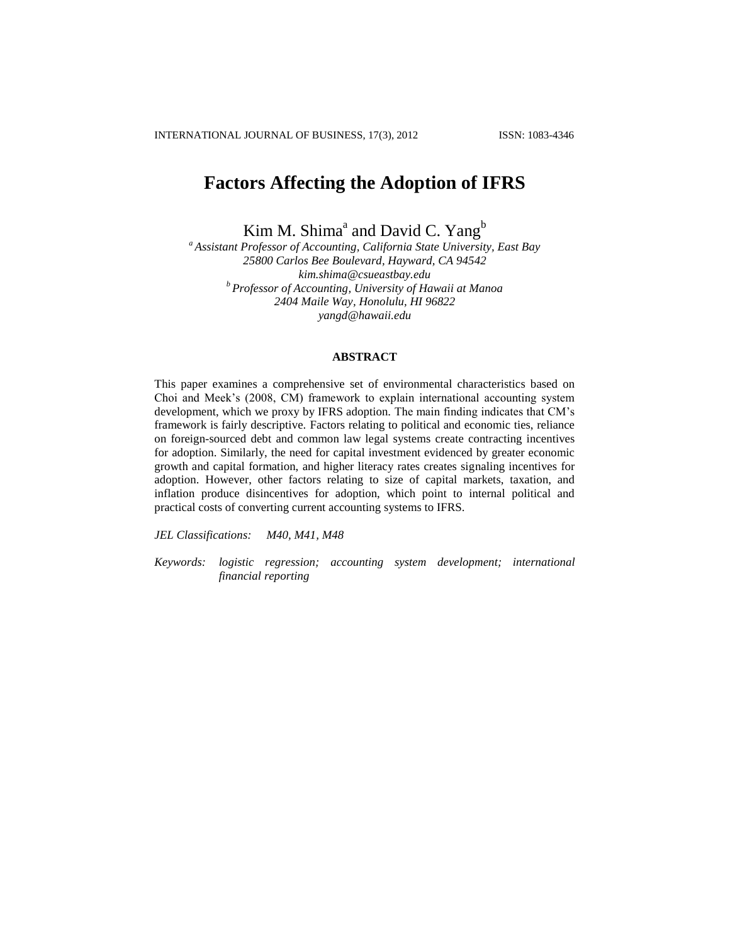# **Factors Affecting the Adoption of IFRS**

Kim M. Shima<sup>a</sup> and David C. Yang<sup>b</sup>

*<sup>a</sup> Assistant Professor of Accounting, California State University, East Bay 25800 Carlos Bee Boulevard, Hayward, CA 94542 kim.shima@csueastbay.edu <sup>b</sup> Professor of Accounting, University of Hawaii at Manoa 2404 Maile Way, Honolulu, HI 96822 yangd@hawaii.edu*

# **ABSTRACT**

This paper examines a comprehensive set of environmental characteristics based on Choi and Meek's (2008, CM) framework to explain international accounting system development, which we proxy by IFRS adoption. The main finding indicates that CM's framework is fairly descriptive. Factors relating to political and economic ties, reliance on foreign-sourced debt and common law legal systems create contracting incentives for adoption. Similarly, the need for capital investment evidenced by greater economic growth and capital formation, and higher literacy rates creates signaling incentives for adoption. However, other factors relating to size of capital markets, taxation, and inflation produce disincentives for adoption, which point to internal political and practical costs of converting current accounting systems to IFRS.

*JEL Classifications: M40, M41, M48* 

*Keywords: logistic regression; accounting system development; international financial reporting*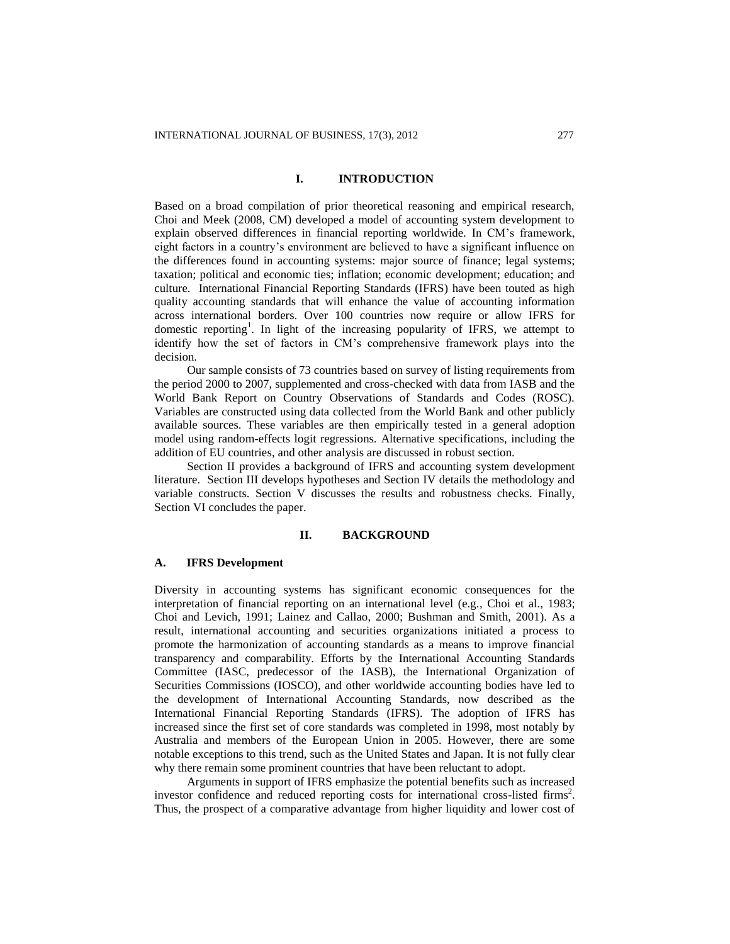# **I. INTRODUCTION**

Based on a broad compilation of prior theoretical reasoning and empirical research, Choi and Meek (2008, CM) developed a model of accounting system development to explain observed differences in financial reporting worldwide. In CM's framework, eight factors in a country's environment are believed to have a significant influence on the differences found in accounting systems: major source of finance; legal systems; taxation; political and economic ties; inflation; economic development; education; and culture. International Financial Reporting Standards (IFRS) have been touted as high quality accounting standards that will enhance the value of accounting information across international borders. Over 100 countries now require or allow IFRS for domestic reporting<sup>1</sup>. In light of the increasing popularity of IFRS, we attempt to identify how the set of factors in CM's comprehensive framework plays into the decision.

Our sample consists of 73 countries based on survey of listing requirements from the period 2000 to 2007, supplemented and cross-checked with data from IASB and the World Bank Report on Country Observations of Standards and Codes (ROSC). Variables are constructed using data collected from the World Bank and other publicly available sources. These variables are then empirically tested in a general adoption model using random-effects logit regressions. Alternative specifications, including the addition of EU countries, and other analysis are discussed in robust section.

Section II provides a background of IFRS and accounting system development literature. Section III develops hypotheses and Section IV details the methodology and variable constructs. Section V discusses the results and robustness checks. Finally, Section VI concludes the paper.

# **II. BACKGROUND**

#### **A. IFRS Development**

Diversity in accounting systems has significant economic consequences for the interpretation of financial reporting on an international level (e.g., Choi et al., 1983; Choi and Levich, 1991; Lainez and Callao, 2000; Bushman and Smith, 2001). As a result, international accounting and securities organizations initiated a process to promote the harmonization of accounting standards as a means to improve financial transparency and comparability. Efforts by the International Accounting Standards Committee (IASC, predecessor of the IASB), the International Organization of Securities Commissions (IOSCO), and other worldwide accounting bodies have led to the development of International Accounting Standards, now described as the International Financial Reporting Standards (IFRS). The adoption of IFRS has increased since the first set of core standards was completed in 1998, most notably by Australia and members of the European Union in 2005. However, there are some notable exceptions to this trend, such as the United States and Japan. It is not fully clear why there remain some prominent countries that have been reluctant to adopt.

Arguments in support of IFRS emphasize the potential benefits such as increased investor confidence and reduced reporting costs for international cross-listed firms<sup>2</sup>. Thus, the prospect of a comparative advantage from higher liquidity and lower cost of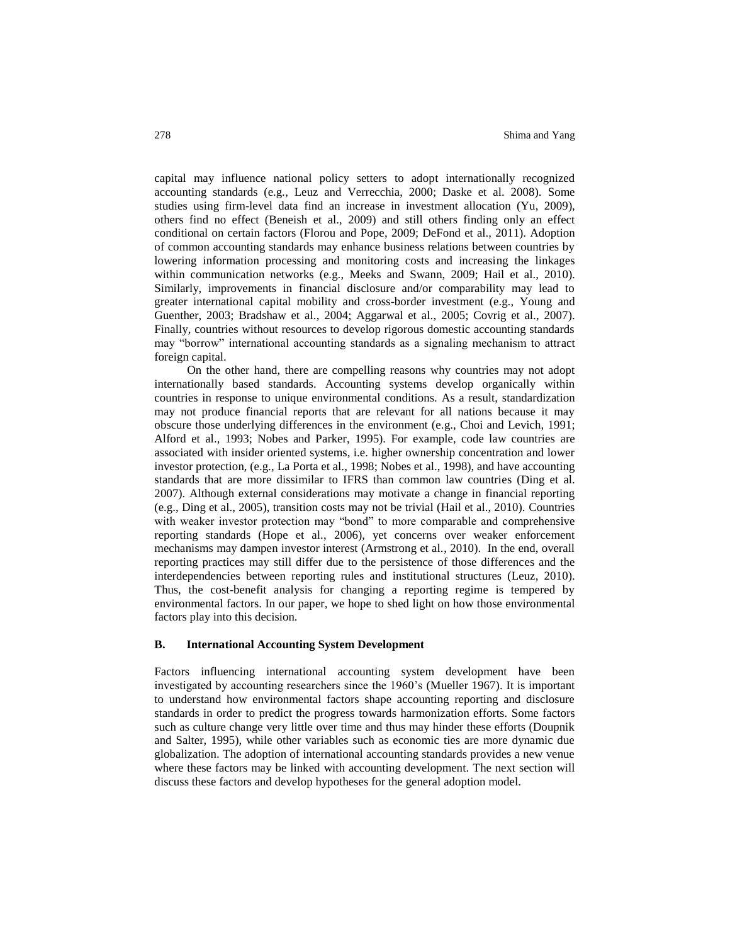capital may influence national policy setters to adopt internationally recognized accounting standards (e.g., Leuz and Verrecchia, 2000; Daske et al. 2008). Some studies using firm-level data find an increase in investment allocation (Yu, 2009), others find no effect (Beneish et al., 2009) and still others finding only an effect conditional on certain factors (Florou and Pope, 2009; DeFond et al., 2011). Adoption of common accounting standards may enhance business relations between countries by lowering information processing and monitoring costs and increasing the linkages within communication networks (e.g., Meeks and Swann, 2009; Hail et al., 2010). Similarly, improvements in financial disclosure and/or comparability may lead to greater international capital mobility and cross-border investment (e.g., Young and Guenther, 2003; Bradshaw et al., 2004; Aggarwal et al., 2005; Covrig et al., 2007). Finally, countries without resources to develop rigorous domestic accounting standards may "borrow" international accounting standards as a signaling mechanism to attract foreign capital.

On the other hand, there are compelling reasons why countries may not adopt internationally based standards. Accounting systems develop organically within countries in response to unique environmental conditions. As a result, standardization may not produce financial reports that are relevant for all nations because it may obscure those underlying differences in the environment (e.g., Choi and Levich, 1991; Alford et al., 1993; Nobes and Parker, 1995). For example, code law countries are associated with insider oriented systems, i.e. higher ownership concentration and lower investor protection, (e.g., La Porta et al., 1998; Nobes et al., 1998), and have accounting standards that are more dissimilar to IFRS than common law countries (Ding et al. 2007). Although external considerations may motivate a change in financial reporting (e.g., Ding et al., 2005), transition costs may not be trivial (Hail et al., 2010). Countries with weaker investor protection may "bond" to more comparable and comprehensive reporting standards (Hope et al., 2006), yet concerns over weaker enforcement mechanisms may dampen investor interest (Armstrong et al., 2010). In the end, overall reporting practices may still differ due to the persistence of those differences and the interdependencies between reporting rules and institutional structures (Leuz, 2010). Thus, the cost-benefit analysis for changing a reporting regime is tempered by environmental factors. In our paper, we hope to shed light on how those environmental factors play into this decision.

#### **B. International Accounting System Development**

Factors influencing international accounting system development have been investigated by accounting researchers since the 1960's (Mueller 1967). It is important to understand how environmental factors shape accounting reporting and disclosure standards in order to predict the progress towards harmonization efforts. Some factors such as culture change very little over time and thus may hinder these efforts (Doupnik and Salter, 1995), while other variables such as economic ties are more dynamic due globalization. The adoption of international accounting standards provides a new venue where these factors may be linked with accounting development. The next section will discuss these factors and develop hypotheses for the general adoption model.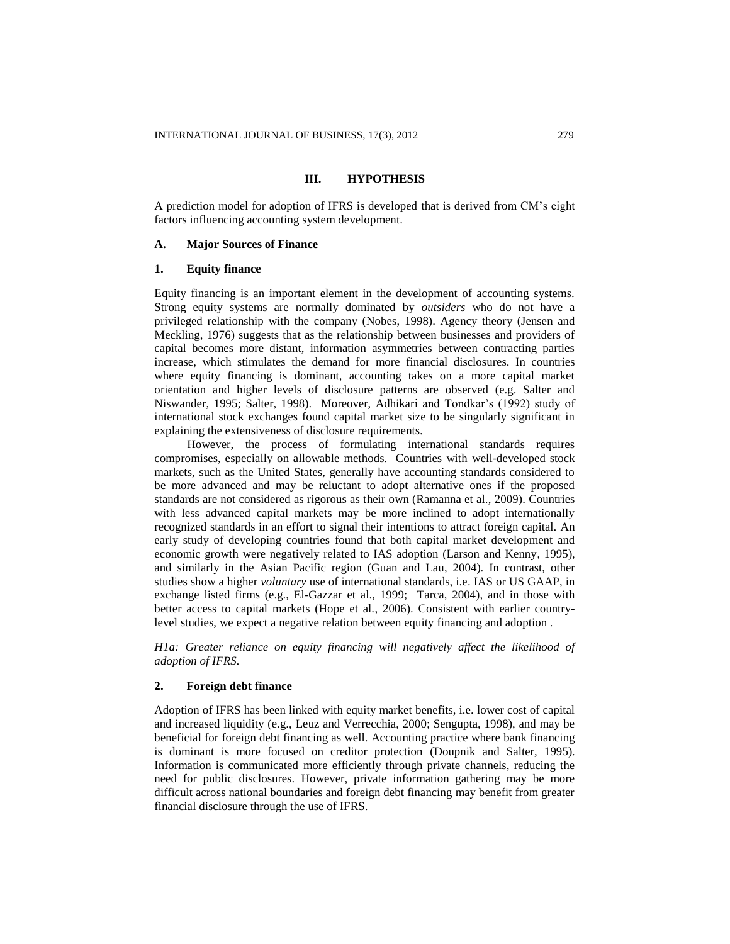# **III. HYPOTHESIS**

A prediction model for adoption of IFRS is developed that is derived from CM's eight factors influencing accounting system development.

# **A. Major Sources of Finance**

# **1. Equity finance**

Equity financing is an important element in the development of accounting systems. Strong equity systems are normally dominated by *outsiders* who do not have a privileged relationship with the company (Nobes, 1998). Agency theory (Jensen and Meckling, 1976) suggests that as the relationship between businesses and providers of capital becomes more distant, information asymmetries between contracting parties increase, which stimulates the demand for more financial disclosures. In countries where equity financing is dominant, accounting takes on a more capital market orientation and higher levels of disclosure patterns are observed (e.g. Salter and Niswander, 1995; Salter, 1998). Moreover, Adhikari and Tondkar's (1992) study of international stock exchanges found capital market size to be singularly significant in explaining the extensiveness of disclosure requirements.

However, the process of formulating international standards requires compromises, especially on allowable methods. Countries with well-developed stock markets, such as the United States, generally have accounting standards considered to be more advanced and may be reluctant to adopt alternative ones if the proposed standards are not considered as rigorous as their own (Ramanna et al., 2009). Countries with less advanced capital markets may be more inclined to adopt internationally recognized standards in an effort to signal their intentions to attract foreign capital. An early study of developing countries found that both capital market development and economic growth were negatively related to IAS adoption (Larson and Kenny, 1995), and similarly in the Asian Pacific region (Guan and Lau, 2004). In contrast, other studies show a higher *voluntary* use of international standards, i.e. IAS or US GAAP, in exchange listed firms (e.g., El-Gazzar et al., 1999; Tarca, 2004), and in those with better access to capital markets (Hope et al., 2006). Consistent with earlier countrylevel studies, we expect a negative relation between equity financing and adoption .

*H1a: Greater reliance on equity financing will negatively affect the likelihood of adoption of IFRS.*

# **2. Foreign debt finance**

Adoption of IFRS has been linked with equity market benefits, i.e. lower cost of capital and increased liquidity (e.g., Leuz and Verrecchia, 2000; Sengupta, 1998), and may be beneficial for foreign debt financing as well. Accounting practice where bank financing is dominant is more focused on creditor protection (Doupnik and Salter, 1995). Information is communicated more efficiently through private channels, reducing the need for public disclosures. However, private information gathering may be more difficult across national boundaries and foreign debt financing may benefit from greater financial disclosure through the use of IFRS.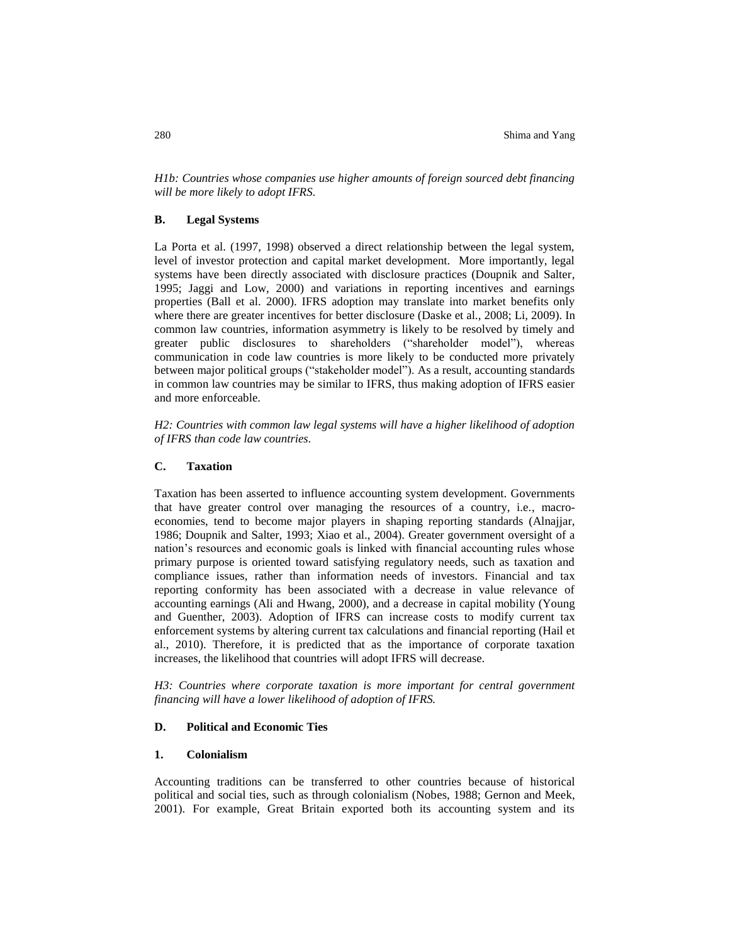*H1b: Countries whose companies use higher amounts of foreign sourced debt financing will be more likely to adopt IFRS.*

# **B. Legal Systems**

La Porta et al. (1997, 1998) observed a direct relationship between the legal system, level of investor protection and capital market development. More importantly, legal systems have been directly associated with disclosure practices (Doupnik and Salter, 1995; Jaggi and Low, 2000) and variations in reporting incentives and earnings properties (Ball et al. 2000). IFRS adoption may translate into market benefits only where there are greater incentives for better disclosure (Daske et al., 2008; Li, 2009). In common law countries, information asymmetry is likely to be resolved by timely and greater public disclosures to shareholders ("shareholder model"), whereas communication in code law countries is more likely to be conducted more privately between major political groups ("stakeholder model"). As a result, accounting standards in common law countries may be similar to IFRS, thus making adoption of IFRS easier and more enforceable.

*H2: Countries with common law legal systems will have a higher likelihood of adoption of IFRS than code law countries.*

# **C. Taxation**

Taxation has been asserted to influence accounting system development. Governments that have greater control over managing the resources of a country, i.e., macroeconomies, tend to become major players in shaping reporting standards (Alnajjar, 1986; Doupnik and Salter, 1993; Xiao et al., 2004). Greater government oversight of a nation's resources and economic goals is linked with financial accounting rules whose primary purpose is oriented toward satisfying regulatory needs, such as taxation and compliance issues, rather than information needs of investors. Financial and tax reporting conformity has been associated with a decrease in value relevance of accounting earnings (Ali and Hwang, 2000), and a decrease in capital mobility (Young and Guenther, 2003). Adoption of IFRS can increase costs to modify current tax enforcement systems by altering current tax calculations and financial reporting (Hail et al., 2010). Therefore, it is predicted that as the importance of corporate taxation increases, the likelihood that countries will adopt IFRS will decrease.

*H3: Countries where corporate taxation is more important for central government financing will have a lower likelihood of adoption of IFRS.*

# **D. Political and Economic Ties**

# **1. Colonialism**

Accounting traditions can be transferred to other countries because of historical political and social ties, such as through colonialism (Nobes, 1988; Gernon and Meek, 2001). For example, Great Britain exported both its accounting system and its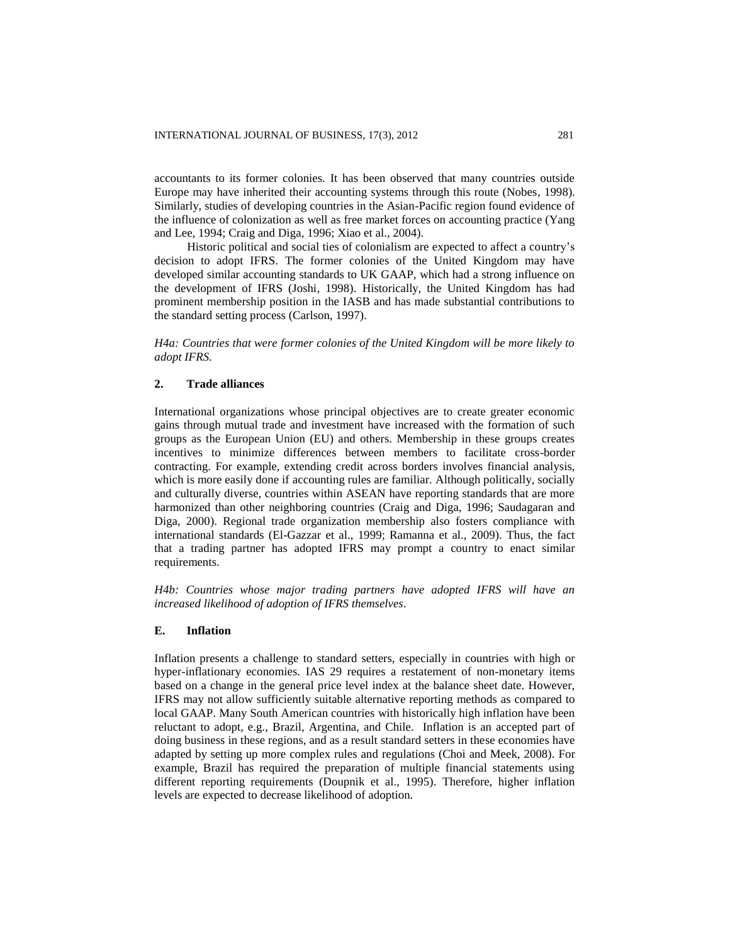accountants to its former colonies. It has been observed that many countries outside Europe may have inherited their accounting systems through this route (Nobes, 1998). Similarly, studies of developing countries in the Asian-Pacific region found evidence of the influence of colonization as well as free market forces on accounting practice (Yang and Lee, 1994; Craig and Diga, 1996; Xiao et al., 2004).

Historic political and social ties of colonialism are expected to affect a country's decision to adopt IFRS. The former colonies of the United Kingdom may have developed similar accounting standards to UK GAAP, which had a strong influence on the development of IFRS (Joshi, 1998). Historically, the United Kingdom has had prominent membership position in the IASB and has made substantial contributions to the standard setting process (Carlson, 1997).

*H4a: Countries that were former colonies of the United Kingdom will be more likely to adopt IFRS.*

# **2. Trade alliances**

International organizations whose principal objectives are to create greater economic gains through mutual trade and investment have increased with the formation of such groups as the European Union (EU) and others. Membership in these groups creates incentives to minimize differences between members to facilitate cross-border contracting. For example, extending credit across borders involves financial analysis, which is more easily done if accounting rules are familiar. Although politically, socially and culturally diverse, countries within ASEAN have reporting standards that are more harmonized than other neighboring countries (Craig and Diga, 1996; Saudagaran and Diga, 2000). Regional trade organization membership also fosters compliance with international standards (El-Gazzar et al., 1999; Ramanna et al., 2009). Thus, the fact that a trading partner has adopted IFRS may prompt a country to enact similar requirements.

*H4b: Countries whose major trading partners have adopted IFRS will have an increased likelihood of adoption of IFRS themselves.*

# **E. Inflation**

Inflation presents a challenge to standard setters, especially in countries with high or hyper-inflationary economies. IAS 29 requires a restatement of non-monetary items based on a change in the general price level index at the balance sheet date. However, IFRS may not allow sufficiently suitable alternative reporting methods as compared to local GAAP. Many South American countries with historically high inflation have been reluctant to adopt, e.g., Brazil, Argentina, and Chile. Inflation is an accepted part of doing business in these regions, and as a result standard setters in these economies have adapted by setting up more complex rules and regulations (Choi and Meek, 2008). For example, Brazil has required the preparation of multiple financial statements using different reporting requirements (Doupnik et al., 1995). Therefore, higher inflation levels are expected to decrease likelihood of adoption.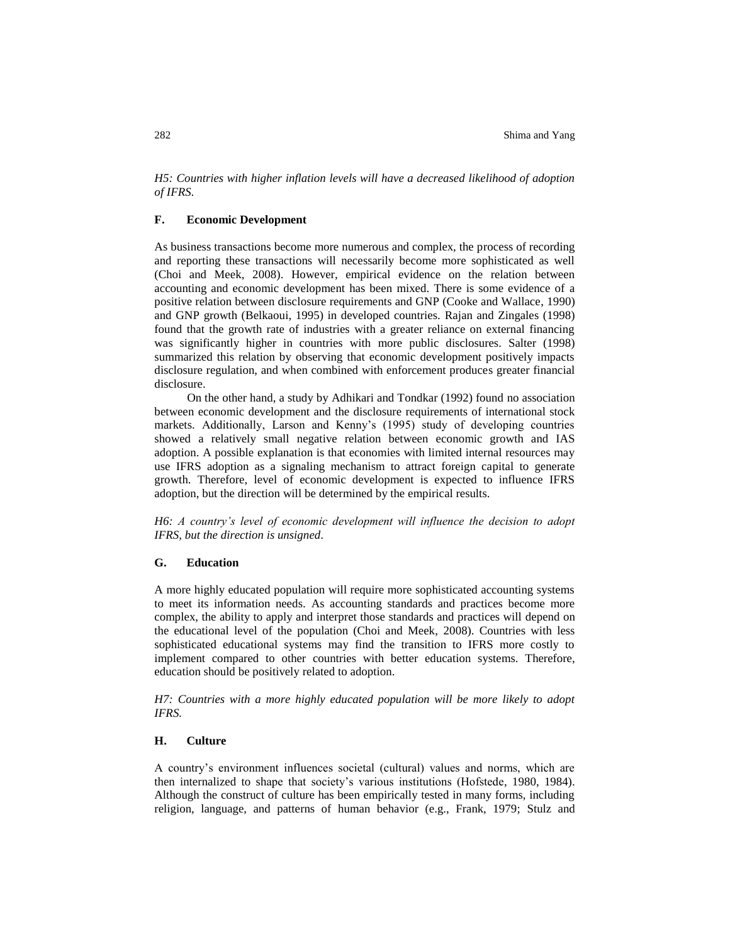*H5: Countries with higher inflation levels will have a decreased likelihood of adoption of IFRS.*

# **F. Economic Development**

As business transactions become more numerous and complex, the process of recording and reporting these transactions will necessarily become more sophisticated as well (Choi and Meek, 2008). However, empirical evidence on the relation between accounting and economic development has been mixed. There is some evidence of a positive relation between disclosure requirements and GNP (Cooke and Wallace, 1990) and GNP growth (Belkaoui, 1995) in developed countries. Rajan and Zingales (1998) found that the growth rate of industries with a greater reliance on external financing was significantly higher in countries with more public disclosures. Salter (1998) summarized this relation by observing that economic development positively impacts disclosure regulation, and when combined with enforcement produces greater financial disclosure.

On the other hand, a study by Adhikari and Tondkar (1992) found no association between economic development and the disclosure requirements of international stock markets. Additionally, Larson and Kenny's (1995) study of developing countries showed a relatively small negative relation between economic growth and IAS adoption. A possible explanation is that economies with limited internal resources may use IFRS adoption as a signaling mechanism to attract foreign capital to generate growth. Therefore, level of economic development is expected to influence IFRS adoption, but the direction will be determined by the empirical results.

*H6: A country's level of economic development will influence the decision to adopt IFRS, but the direction is unsigned.*

#### **G. Education**

A more highly educated population will require more sophisticated accounting systems to meet its information needs. As accounting standards and practices become more complex, the ability to apply and interpret those standards and practices will depend on the educational level of the population (Choi and Meek, 2008). Countries with less sophisticated educational systems may find the transition to IFRS more costly to implement compared to other countries with better education systems. Therefore, education should be positively related to adoption.

*H7: Countries with a more highly educated population will be more likely to adopt IFRS.*

# **H. Culture**

A country's environment influences societal (cultural) values and norms, which are then internalized to shape that society's various institutions (Hofstede, 1980, 1984). Although the construct of culture has been empirically tested in many forms, including religion, language, and patterns of human behavior (e.g., Frank, 1979; Stulz and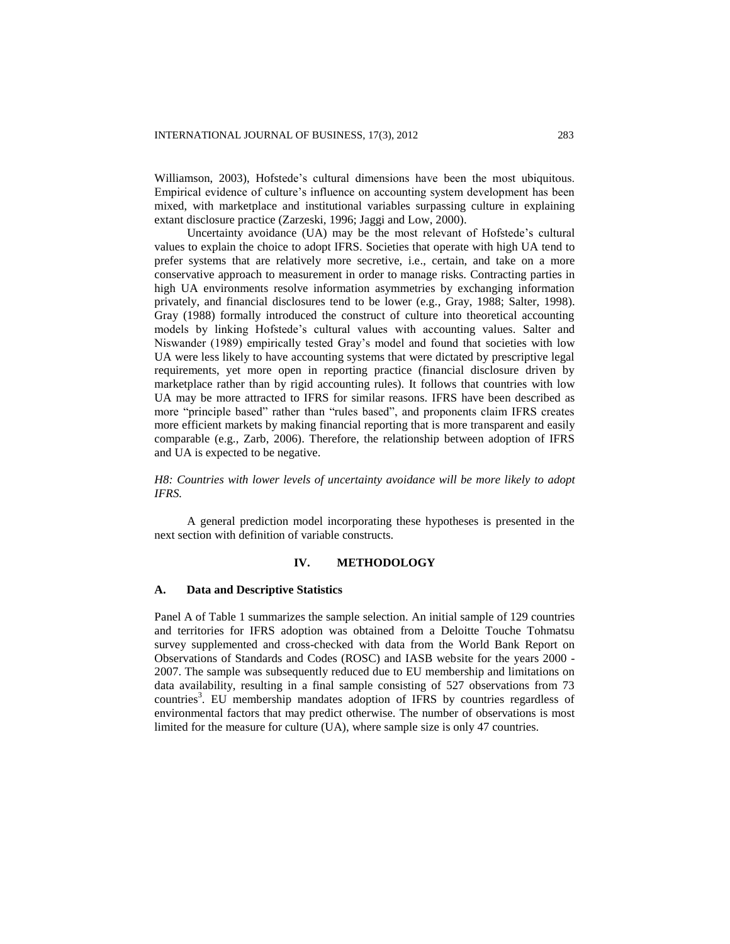Williamson, 2003), Hofstede's cultural dimensions have been the most ubiquitous. Empirical evidence of culture's influence on accounting system development has been mixed, with marketplace and institutional variables surpassing culture in explaining extant disclosure practice (Zarzeski, 1996; Jaggi and Low, 2000).

Uncertainty avoidance (UA) may be the most relevant of Hofstede's cultural values to explain the choice to adopt IFRS. Societies that operate with high UA tend to prefer systems that are relatively more secretive, i.e., certain, and take on a more conservative approach to measurement in order to manage risks. Contracting parties in high UA environments resolve information asymmetries by exchanging information privately, and financial disclosures tend to be lower (e.g., Gray, 1988; Salter, 1998). Gray (1988) formally introduced the construct of culture into theoretical accounting models by linking Hofstede's cultural values with accounting values. Salter and Niswander (1989) empirically tested Gray's model and found that societies with low UA were less likely to have accounting systems that were dictated by prescriptive legal requirements, yet more open in reporting practice (financial disclosure driven by marketplace rather than by rigid accounting rules). It follows that countries with low UA may be more attracted to IFRS for similar reasons. IFRS have been described as more "principle based" rather than "rules based", and proponents claim IFRS creates more efficient markets by making financial reporting that is more transparent and easily comparable (e.g., Zarb, 2006). Therefore, the relationship between adoption of IFRS and UA is expected to be negative.

*H8: Countries with lower levels of uncertainty avoidance will be more likely to adopt IFRS.*

A general prediction model incorporating these hypotheses is presented in the next section with definition of variable constructs.

#### **IV. METHODOLOGY**

#### **A. Data and Descriptive Statistics**

Panel A of Table 1 summarizes the sample selection. An initial sample of 129 countries and territories for IFRS adoption was obtained from a Deloitte Touche Tohmatsu survey supplemented and cross-checked with data from the World Bank Report on Observations of Standards and Codes (ROSC) and IASB website for the years 2000 - 2007. The sample was subsequently reduced due to EU membership and limitations on data availability, resulting in a final sample consisting of 527 observations from 73 countries<sup>3</sup>. EU membership mandates adoption of IFRS by countries regardless of environmental factors that may predict otherwise. The number of observations is most limited for the measure for culture (UA), where sample size is only 47 countries.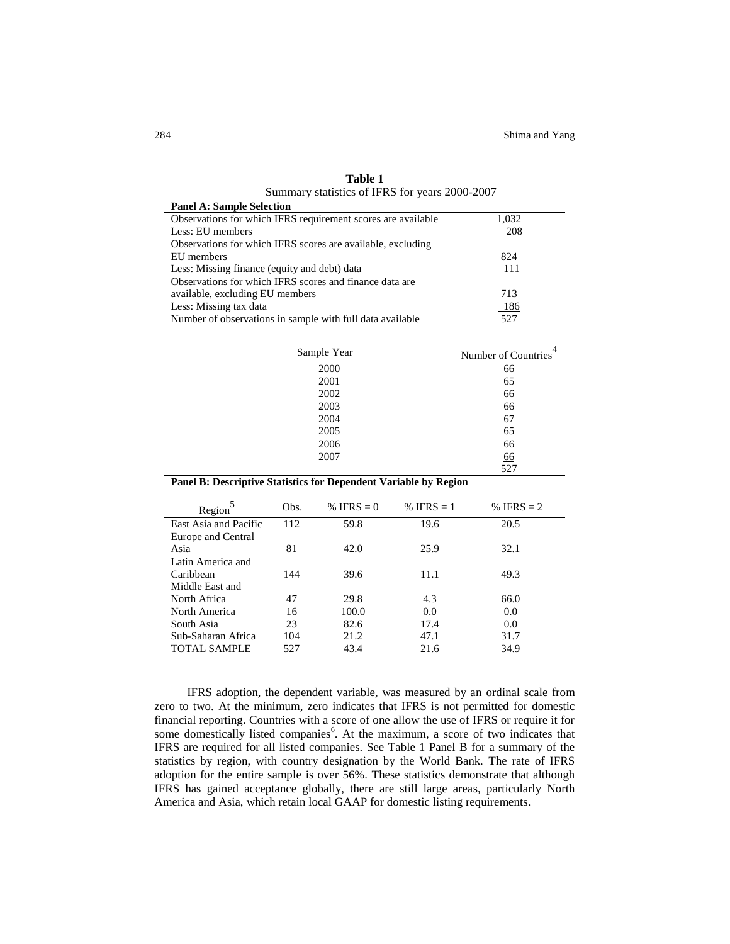| Summary statistics of IFRS for years 2000-2007               |                     |  |  |  |
|--------------------------------------------------------------|---------------------|--|--|--|
| <b>Panel A: Sample Selection</b>                             |                     |  |  |  |
| Observations for which IFRS requirement scores are available | 1,032               |  |  |  |
| Less: EU members                                             | 208                 |  |  |  |
| Observations for which IFRS scores are available, excluding  |                     |  |  |  |
| EU members                                                   | 824                 |  |  |  |
| Less: Missing finance (equity and debt) data                 | 111                 |  |  |  |
| Observations for which IFRS scores and finance data are      |                     |  |  |  |
| available, excluding EU members                              | 713                 |  |  |  |
| Less: Missing tax data                                       | 186                 |  |  |  |
| Number of observations in sample with full data available    | 527                 |  |  |  |
|                                                              |                     |  |  |  |
| Sample Year                                                  | Number of Countries |  |  |  |
| 2000                                                         | 66                  |  |  |  |
| 2001                                                         | 65                  |  |  |  |
| 2002                                                         | 66                  |  |  |  |
| 2003                                                         | 66                  |  |  |  |
| 2004                                                         | 67                  |  |  |  |
| 2005                                                         | 65                  |  |  |  |
| 2006                                                         | 66                  |  |  |  |

| Table 1                                        |
|------------------------------------------------|
| Summary statistics of IFRS for years 2000-2007 |

|  | Panel B: Descriptive Statistics for Dependent Variable by Region |  |  |
|--|------------------------------------------------------------------|--|--|
|  |                                                                  |  |  |

2007 66 527

| Region <sup>-</sup>   | Obs. | % IFRS $= 0$ | % IFRS $= 1$ | % IFRS $= 2$ |
|-----------------------|------|--------------|--------------|--------------|
| East Asia and Pacific | 112  | 59.8         | 19.6         | 20.5         |
| Europe and Central    |      |              |              |              |
| Asia                  | 81   | 42.0         | 25.9         | 32.1         |
| Latin America and     |      |              |              |              |
| Caribbean             | 144  | 39.6         | 11.1         | 49.3         |
| Middle East and       |      |              |              |              |
| North Africa          | 47   | 29.8         | 4.3          | 66.0         |
| North America         | 16   | 100.0        | 0.0          | 0.0          |
| South Asia            | 23   | 82.6         | 17.4         | 0.0          |
| Sub-Saharan Africa    | 104  | 21.2         | 47.1         | 31.7         |
| <b>TOTAL SAMPLE</b>   | 527  | 43.4         | 21.6         | 34.9         |
|                       |      |              |              |              |

IFRS adoption, the dependent variable, was measured by an ordinal scale from zero to two. At the minimum, zero indicates that IFRS is not permitted for domestic financial reporting. Countries with a score of one allow the use of IFRS or require it for some domestically listed companies<sup>6</sup>. At the maximum, a score of two indicates that IFRS are required for all listed companies. See Table 1 Panel B for a summary of the statistics by region, with country designation by the World Bank. The rate of IFRS adoption for the entire sample is over 56%. These statistics demonstrate that although IFRS has gained acceptance globally, there are still large areas, particularly North America and Asia, which retain local GAAP for domestic listing requirements.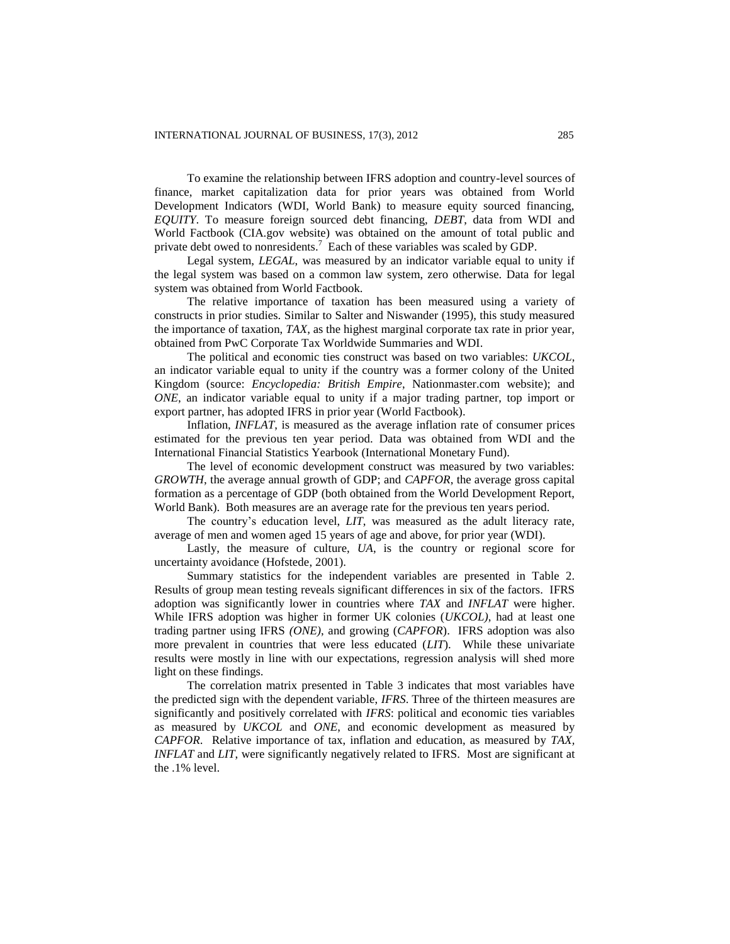To examine the relationship between IFRS adoption and country-level sources of finance, market capitalization data for prior years was obtained from World Development Indicators (WDI, World Bank) to measure equity sourced financing, *EQUITY*. To measure foreign sourced debt financing, *DEBT*, data from WDI and World Factbook (CIA.gov website) was obtained on the amount of total public and private debt owed to nonresidents.<sup>7</sup> Each of these variables was scaled by GDP.

Legal system, *LEGAL*, was measured by an indicator variable equal to unity if the legal system was based on a common law system, zero otherwise. Data for legal system was obtained from World Factbook.

The relative importance of taxation has been measured using a variety of constructs in prior studies. Similar to Salter and Niswander (1995), this study measured the importance of taxation, *TAX*, as the highest marginal corporate tax rate in prior year, obtained from PwC Corporate Tax Worldwide Summaries and WDI.

The political and economic ties construct was based on two variables: *UKCOL*, an indicator variable equal to unity if the country was a former colony of the United Kingdom (source: *Encyclopedia: British Empire*, Nationmaster.com website); and *ONE*, an indicator variable equal to unity if a major trading partner, top import or export partner, has adopted IFRS in prior year (World Factbook).

Inflation, *INFLAT*, is measured as the average inflation rate of consumer prices estimated for the previous ten year period. Data was obtained from WDI and the International Financial Statistics Yearbook (International Monetary Fund).

The level of economic development construct was measured by two variables: *GROWTH*, the average annual growth of GDP; and *CAPFOR*, the average gross capital formation as a percentage of GDP (both obtained from the World Development Report, World Bank). Both measures are an average rate for the previous ten years period.

The country's education level, *LIT*, was measured as the adult literacy rate, average of men and women aged 15 years of age and above, for prior year (WDI).

Lastly, the measure of culture, *UA*, is the country or regional score for uncertainty avoidance (Hofstede, 2001).

Summary statistics for the independent variables are presented in Table 2. Results of group mean testing reveals significant differences in six of the factors. IFRS adoption was significantly lower in countries where *TAX* and *INFLAT* were higher. While IFRS adoption was higher in former UK colonies (*UKCOL)*, had at least one trading partner using IFRS *(ONE)*, and growing (*CAPFOR*). IFRS adoption was also more prevalent in countries that were less educated (*LIT*). While these univariate results were mostly in line with our expectations, regression analysis will shed more light on these findings.

The correlation matrix presented in Table 3 indicates that most variables have the predicted sign with the dependent variable, *IFRS*. Three of the thirteen measures are significantly and positively correlated with *IFRS*: political and economic ties variables as measured by *UKCOL* and *ONE*, and economic development as measured by *CAPFOR*. Relative importance of tax, inflation and education, as measured by *TAX, INFLAT* and *LIT*, were significantly negatively related to IFRS. Most are significant at the .1% level.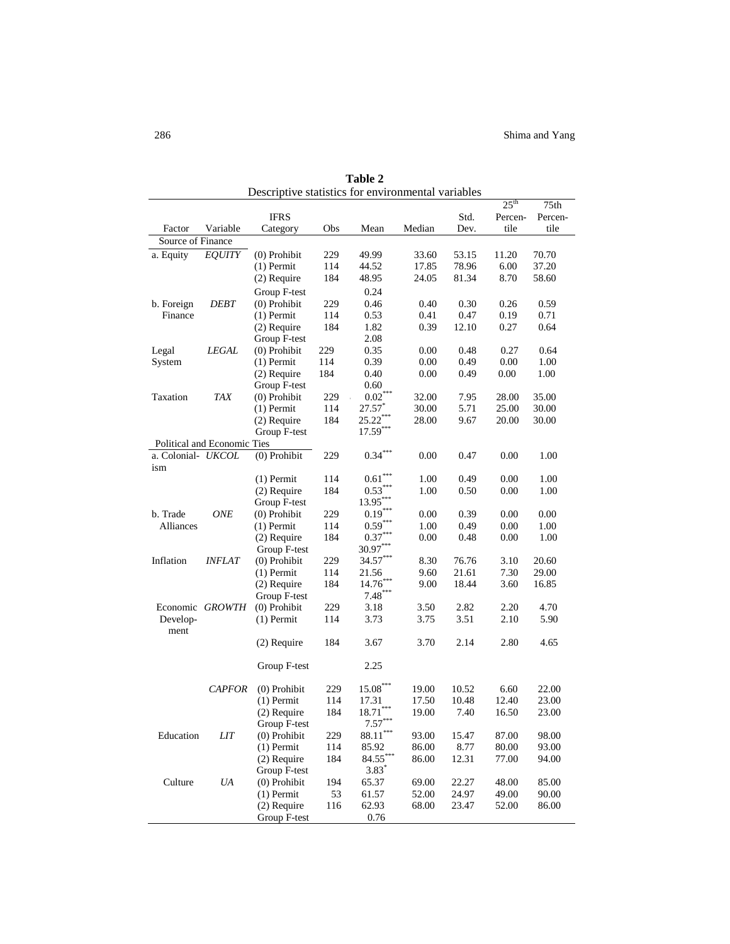|                    |                             | Descriptive statistics for chvironmental variables |     |                      |        |       |                  |         |
|--------------------|-----------------------------|----------------------------------------------------|-----|----------------------|--------|-------|------------------|---------|
|                    |                             |                                                    |     |                      |        |       | 25 <sup>th</sup> | 75th    |
|                    |                             | <b>IFRS</b>                                        |     |                      |        | Std.  | Percen-          | Percen- |
| Factor             | Variable                    | Category                                           | Obs | Mean                 | Median | Dev.  | tile             | tile    |
| Source of Finance  |                             |                                                    |     |                      |        |       |                  |         |
| a. Equity          | <b>EQUITY</b>               | (0) Prohibit                                       | 229 | 49.99                | 33.60  | 53.15 | 11.20            | 70.70   |
|                    |                             | $(1)$ Permit                                       | 114 | 44.52                | 17.85  | 78.96 | 6.00             | 37.20   |
|                    |                             | $(2)$ Require                                      | 184 | 48.95                | 24.05  | 81.34 | 8.70             | 58.60   |
|                    |                             | Group F-test                                       |     | 0.24                 |        |       |                  |         |
| b. Foreign         | <i>DEBT</i>                 | (0) Prohibit                                       | 229 | 0.46                 | 0.40   | 0.30  | 0.26             | 0.59    |
| Finance            |                             | $(1)$ Permit                                       | 114 | 0.53                 | 0.41   | 0.47  | 0.19             | 0.71    |
|                    |                             | $(2)$ Require                                      | 184 | 1.82                 | 0.39   | 12.10 | 0.27             | 0.64    |
|                    |                             | Group F-test                                       |     | 2.08                 |        |       |                  |         |
| Legal              | LEGAL                       | (0) Prohibit                                       | 229 | 0.35                 | 0.00   | 0.48  | 0.27             | 0.64    |
| System             |                             | $(1)$ Permit                                       | 114 | 0.39                 | 0.00   | 0.49  | 0.00             | 1.00    |
|                    |                             | $(2)$ Require                                      | 184 | 0.40                 | 0.00   | 0.49  | 0.00             | 1.00    |
|                    |                             | Group F-test                                       |     | 0.60                 |        |       |                  |         |
| Taxation           | TAX                         | (0) Prohibit                                       | 229 | $0.02***$            | 32.00  | 7.95  | 28.00            | 35.00   |
|                    |                             | $(1)$ Permit                                       | 114 | $27.57$ <sup>*</sup> | 30.00  | 5.71  | 25.00            | 30.00   |
|                    |                             | (2) Require                                        | 184 | $25.22***$           | 28.00  | 9.67  | 20.00            | 30.00   |
|                    |                             | Group F-test                                       |     | $17.59***$           |        |       |                  |         |
|                    | Political and Economic Ties |                                                    |     |                      |        |       |                  |         |
| a. Colonial- UKCOL |                             | $(0)$ Prohibit                                     | 229 | $0.34***$            | 0.00   | 0.47  | 0.00             | 1.00    |
| ism                |                             |                                                    |     |                      |        |       |                  |         |
|                    |                             | $(1)$ Permit                                       | 114 | 0.61                 | 1.00   | 0.49  | 0.00             | 1.00    |
|                    |                             | (2) Require                                        | 184 | $0.53***$            | 1.00   | 0.50  | 0.00             | 1.00    |
|                    |                             | Group F-test                                       |     | $13.95***$           |        |       |                  |         |
| b. Trade           | ONE                         | (0) Prohibit                                       | 229 | $0.19***$            | 0.00   | 0.39  | 0.00             | 0.00    |
| Alliances          |                             | $(1)$ Permit                                       | 114 | $0.59***$            | 1.00   | 0.49  | 0.00             | 1.00    |
|                    |                             | $(2)$ Require                                      | 184 | $0.37***$            | 0.00   | 0.48  | 0.00             | 1.00    |
|                    |                             | Group F-test                                       |     | $30.97***$           |        |       |                  |         |
| Inflation          | <i><b>INFLAT</b></i>        | $(0)$ Prohibit                                     | 229 | $34.57***$           | 8.30   | 76.76 | 3.10             | 20.60   |
|                    |                             | $(1)$ Permit                                       | 114 | 21.56                | 9.60   | 21.61 | 7.30             | 29.00   |
|                    |                             | (2) Require                                        | 184 | $14.76***$           | 9.00   | 18.44 | 3.60             | 16.85   |
|                    |                             | Group F-test                                       |     | $7.48***$            |        |       |                  |         |
|                    | Economic GROWTH             | $(0)$ Prohibit                                     | 229 | 3.18                 | 3.50   | 2.82  | 2.20             | 4.70    |
| Develop-           |                             | $(1)$ Permit                                       | 114 | 3.73                 | 3.75   | 3.51  | 2.10             | 5.90    |
| ment               |                             |                                                    |     |                      |        |       |                  |         |
|                    |                             | $(2)$ Require                                      | 184 | 3.67                 | 3.70   | 2.14  | 2.80             | 4.65    |
|                    |                             |                                                    |     |                      |        |       |                  |         |
|                    |                             | Group F-test                                       |     | 2.25                 |        |       |                  |         |
|                    |                             |                                                    |     |                      |        |       |                  |         |
|                    | <b>CAPFOR</b>               | (0) Prohibit                                       | 229 | $15.08***$           | 19.00  | 10.52 | 6.60             | 22.00   |
|                    |                             | $(1)$ Permit                                       | 114 | 17.31                | 17.50  | 10.48 | 12.40            | 23.00   |
|                    |                             | (2) Require                                        | 184 | $18.71***$           | 19.00  | 7.40  | 16.50            | 23.00   |
|                    |                             | Group F-test                                       |     | $7.57***$            |        |       |                  |         |
| Education          | <b>LIT</b>                  | (0) Prohibit                                       | 229 | $88.11***$           | 93.00  | 15.47 | 87.00            | 98.00   |
|                    |                             | $(1)$ Permit                                       | 114 | 85.92                | 86.00  | 8.77  | 80.00            | 93.00   |
|                    |                             | (2) Require                                        | 184 | $84.55***$           | 86.00  | 12.31 | 77.00            | 94.00   |
|                    |                             | Group F-test                                       |     | $3.83*$              |        |       |                  |         |
| Culture            | UA                          | $(0)$ Prohibit                                     | 194 | 65.37                | 69.00  | 22.27 | 48.00            | 85.00   |
|                    |                             | $(1)$ Permit                                       | 53  | 61.57                | 52.00  | 24.97 | 49.00            | 90.00   |
|                    |                             | (2) Require                                        | 116 | 62.93                | 68.00  | 23.47 | 52.00            | 86.00   |
|                    |                             | Group F-test                                       |     | 0.76                 |        |       |                  |         |

**Table 2** Descriptive statistics for environmental variables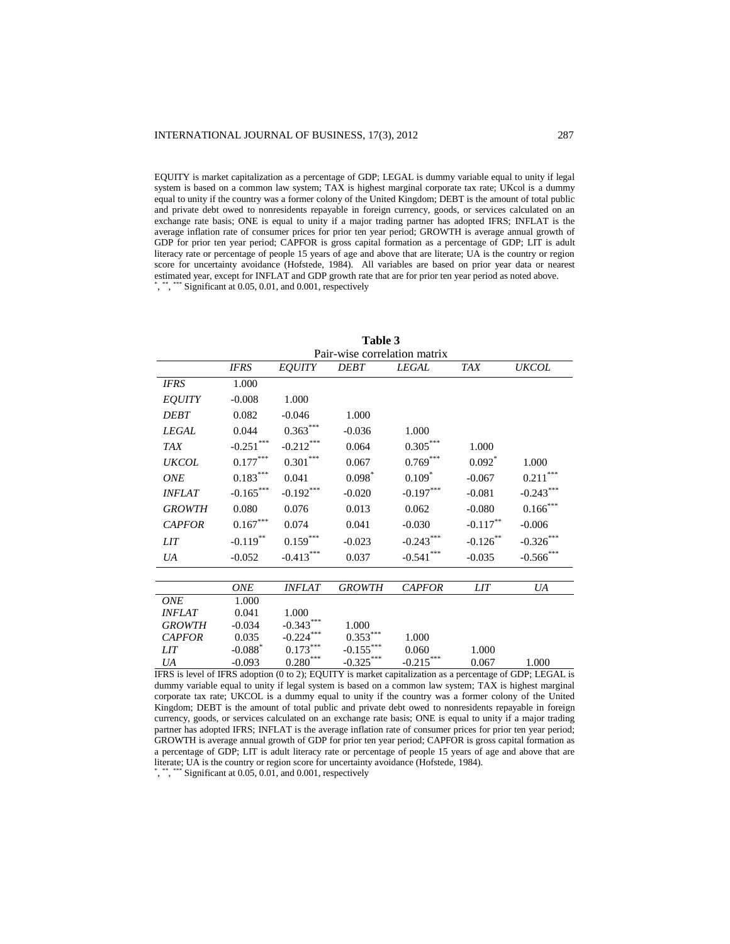EQUITY is market capitalization as a percentage of GDP; LEGAL is dummy variable equal to unity if legal system is based on a common law system; TAX is highest marginal corporate tax rate; UKcol is a dummy equal to unity if the country was a former colony of the United Kingdom; DEBT is the amount of total public and private debt owed to nonresidents repayable in foreign currency, goods, or services calculated on an exchange rate basis; ONE is equal to unity if a major trading partner has adopted IFRS; INFLAT is the average inflation rate of consumer prices for prior ten year period; GROWTH is average annual growth of GDP for prior ten year period; CAPFOR is gross capital formation as a percentage of GDP; LIT is adult literacy rate or percentage of people 15 years of age and above that are literate; UA is the country or region score for uncertainty avoidance (Hofstede, 1984). All variables are based on prior year data or nearest estimated year, except for INFLAT and GDP growth rate that are for prior ten year period as noted above.

\*, \*\*, \*\*\* Significant at 0.05, 0.01, and 0.001, respectively

| Table 3                                                                                                                          |                        |                        |                              |               |             |                        |
|----------------------------------------------------------------------------------------------------------------------------------|------------------------|------------------------|------------------------------|---------------|-------------|------------------------|
|                                                                                                                                  |                        |                        | Pair-wise correlation matrix |               |             |                        |
|                                                                                                                                  | <b>IFRS</b>            | EQUITY                 | <b>DEBT</b>                  | <b>LEGAL</b>  | <b>TAX</b>  | <b>UKCOL</b>           |
| <b>IFRS</b>                                                                                                                      | 1.000                  |                        |                              |               |             |                        |
| <b>EQUITY</b>                                                                                                                    | $-0.008$               | 1.000                  |                              |               |             |                        |
| <b>DEBT</b>                                                                                                                      | 0.082                  | $-0.046$               | 1.000                        |               |             |                        |
| <b>LEGAL</b>                                                                                                                     | 0.044                  | $0.363***$             | $-0.036$                     | 1.000         |             |                        |
| <b>TAX</b>                                                                                                                       | $-0.251***$            | $-0.212***$            | 0.064                        | $0.305***$    | 1.000       |                        |
| <b>UKCOL</b>                                                                                                                     | $0.177^{\ast\ast\ast}$ | $0.301***$             | 0.067                        | $0.769***$    | $0.092*$    | 1.000                  |
| <b>ONE</b>                                                                                                                       | $0.183***$             | 0.041                  | $0.098*$                     | $0.109*$      | $-0.067$    | $0.211^{\ast\ast\ast}$ |
| <b>INFLAT</b>                                                                                                                    | $-0.165***$            | $-0.192***$            | $-0.020$                     | $-0.197***$   | $-0.081$    | $-0.243***$            |
| <b>GROWTH</b>                                                                                                                    | 0.080                  | 0.076                  | 0.013                        | 0.062         | $-0.080$    | $0.166^{***}$          |
| <b>CAPFOR</b>                                                                                                                    | $0.167^{\ast\ast\ast}$ | 0.074                  | 0.041                        | $-0.030$      | $-0.117***$ | $-0.006$               |
| <b>LIT</b>                                                                                                                       | $-0.119$ **            | $0.159^{\ast\ast\ast}$ | $-0.023$                     | $-0.243***$   | $-0.126$ ** | $-0.326$ ***           |
| UA                                                                                                                               | $-0.052$               | $-0.413***$            | 0.037                        | $-0.541***$   | $-0.035$    | $-0.566$ ***           |
|                                                                                                                                  |                        |                        |                              |               |             |                        |
|                                                                                                                                  | <b>ONE</b>             | <b>INFLAT</b>          | <b>GROWTH</b>                | <b>CAPFOR</b> | <b>LIT</b>  | UA                     |
| <b>ONE</b>                                                                                                                       | 1.000                  |                        |                              |               |             |                        |
| <b>INFLAT</b>                                                                                                                    | 0.041                  | 1.000                  |                              |               |             |                        |
| <b>GROWTH</b>                                                                                                                    | $-0.034$               | $-0.343***$            | 1.000                        |               |             |                        |
| <b>CAPFOR</b>                                                                                                                    | 0.035                  | $-0.224***$            | $0.353^{\ast\ast\ast}$       | 1.000         |             |                        |
| <i>LIT</i>                                                                                                                       | $-0.088$ <sup>*</sup>  | $0.173^{\ast\ast\ast}$ | $-0.155***$                  | 0.060         | 1.000       |                        |
| UA<br>$EPRS$ is level of $EPRS$ adoption $(0, t_0, 2)$ . $EQI IITY$ is market capitalization as a percentage of $GDPI I EGMI$ is | $-0.093$               | $0.280***$             | $-0.325***$                  | $-0.215***$   | 0.067       | 1.000                  |

IFRS is level of IFRS adoption (0 to 2); EQUITY is market capitalization as a percentage of GDP; LEGAL is dummy variable equal to unity if legal system is based on a common law system; TAX is highest marginal corporate tax rate; UKCOL is a dummy equal to unity if the country was a former colony of the United Kingdom; DEBT is the amount of total public and private debt owed to nonresidents repayable in foreign currency, goods, or services calculated on an exchange rate basis; ONE is equal to unity if a major trading partner has adopted IFRS; INFLAT is the average inflation rate of consumer prices for prior ten year period; GROWTH is average annual growth of GDP for prior ten year period; CAPFOR is gross capital formation as a percentage of GDP; LIT is adult literacy rate or percentage of people 15 years of age and above that are literate; UA is the country or region score for uncertainty avoidance (Hofstede, 1984).

\*, \*\*, \*\*\* Significant at 0.05, 0.01, and 0.001, respectively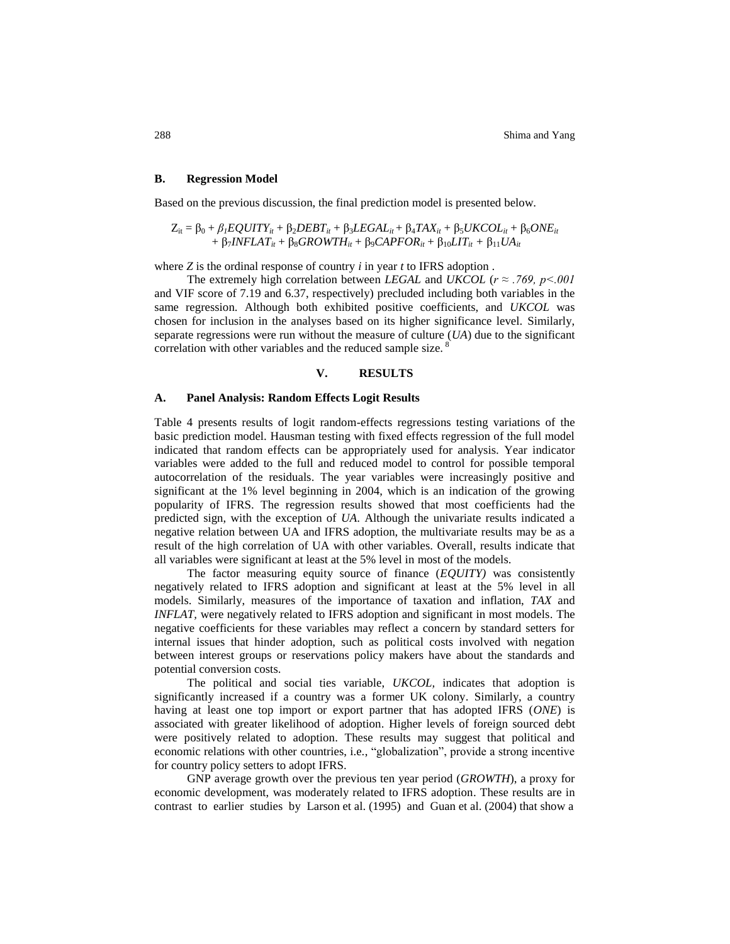# **B. Regression Model**

Based on the previous discussion, the final prediction model is presented below.

$$
Z_{it} = \beta_0 + \beta_1 EQUITY_{it} + \beta_2 DEBT_{it} + \beta_3 LEGAL_{it} + \beta_4 TAX_{it} + \beta_5 UKCOL_{it} + \beta_6 ONE_{it} + \beta_7 INFLAT_{it} + \beta_8 GROWTH_{it} + \beta_9 CAPFOR_{it} + \beta_{10} LIT_{it} + \beta_{11} UA_{it}
$$

where *Z* is the ordinal response of country *i* in year *t* to IFRS adoption .

The extremely high correlation between *LEGAL* and *UKCOL* (*r ≈ .769, p<.001* and VIF score of 7.19 and 6.37, respectively) precluded including both variables in the same regression. Although both exhibited positive coefficients, and *UKCOL* was chosen for inclusion in the analyses based on its higher significance level. Similarly, separate regressions were run without the measure of culture (*UA*) due to the significant correlation with other variables and the reduced sample size.<sup>8</sup>

#### **V. RESULTS**

# **A. Panel Analysis: Random Effects Logit Results**

Table 4 presents results of logit random-effects regressions testing variations of the basic prediction model. Hausman testing with fixed effects regression of the full model indicated that random effects can be appropriately used for analysis. Year indicator variables were added to the full and reduced model to control for possible temporal autocorrelation of the residuals. The year variables were increasingly positive and significant at the 1% level beginning in 2004, which is an indication of the growing popularity of IFRS. The regression results showed that most coefficients had the predicted sign, with the exception of *UA*. Although the univariate results indicated a negative relation between UA and IFRS adoption, the multivariate results may be as a result of the high correlation of UA with other variables. Overall, results indicate that all variables were significant at least at the 5% level in most of the models.

The factor measuring equity source of finance (*EQUITY)* was consistently negatively related to IFRS adoption and significant at least at the 5% level in all models. Similarly, measures of the importance of taxation and inflation, *TAX* and *INFLAT,* were negatively related to IFRS adoption and significant in most models. The negative coefficients for these variables may reflect a concern by standard setters for internal issues that hinder adoption, such as political costs involved with negation between interest groups or reservations policy makers have about the standards and potential conversion costs.

The political and social ties variable, *UKCOL,* indicates that adoption is significantly increased if a country was a former UK colony. Similarly, a country having at least one top import or export partner that has adopted IFRS (*ONE*) is associated with greater likelihood of adoption. Higher levels of foreign sourced debt were positively related to adoption. These results may suggest that political and economic relations with other countries, i.e., "globalization", provide a strong incentive for country policy setters to adopt IFRS.

GNP average growth over the previous ten year period (*GROWTH*), a proxy for economic development, was moderately related to IFRS adoption. These results are in contrast to earlier studies by Larson et al. (1995) and Guan et al. (2004) that show a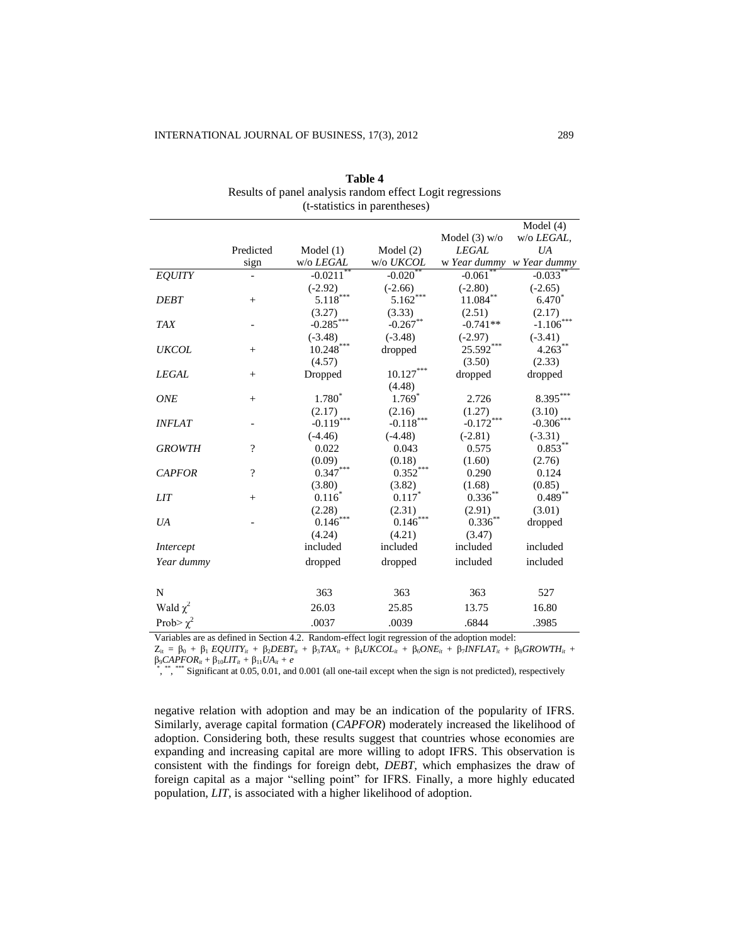|                |                          |                        |             |                           | Model $(4)$  |
|----------------|--------------------------|------------------------|-------------|---------------------------|--------------|
|                |                          |                        |             | Model $(3)$ w/o           | w/o LEGAL,   |
|                | Predicted                | Model $(1)$            | Model $(2)$ | <b>LEGAL</b>              | UA           |
|                | sign                     | w/o LEGAL              | w/o UKCOL   | w Year dummy w Year dummy |              |
| <b>EQUITY</b>  |                          | $-0.0211$ <sup>*</sup> | $-0.020$    | $-0.061$ <sup>*</sup>     | $-0.033*$    |
|                |                          | $(-2.92)$              | $(-2.66)$   | $(-2.80)$                 | $(-2.65)$    |
| <b>DEBT</b>    | $^{+}$                   | $5.118***$             | $5.162***$  | $11.084***$               | $6.470^{*}$  |
|                |                          | (3.27)                 | (3.33)      | (2.51)                    | (2.17)       |
| <b>TAX</b>     |                          | $-0.285$ ***           | $-0.267$ ** | $-0.741**$                | $-1.106$     |
|                |                          | $(-3.48)$              | $(-3.48)$   | $(-2.97)$                 | $(-3.41)$    |
| <b>UKCOL</b>   | $^{+}$                   | $10.248***$            | dropped     | $25.592***$               | $4.263***$   |
|                |                          | (4.57)                 |             | (3.50)                    | (2.33)       |
| <b>LEGAL</b>   | $^{+}$                   | Dropped                | $10.127***$ | dropped                   | dropped      |
|                |                          |                        | (4.48)      |                           |              |
| <b>ONE</b>     | $^{+}$                   | $1.780^{*}$            | $1.769*$    | 2.726                     | $8.395***$   |
|                |                          | (2.17)                 | (2.16)      | (1.27)                    | (3.10)       |
| <b>INFLAT</b>  |                          | $-0.119***$            | $-0.118***$ | $-0.172***$               | $-0.306$     |
|                |                          | $(-4.46)$              | $(-4.48)$   | $(-2.81)$                 | $(-3.31)$    |
| <b>GROWTH</b>  | $\overline{\mathcal{C}}$ | 0.022                  | 0.043       | 0.575                     | $0.853^{**}$ |
|                |                          | (0.09)                 | (0.18)      | (1.60)                    | (2.76)       |
| <b>CAPFOR</b>  | $\overline{\mathcal{L}}$ | $0.347***$             | $0.352***$  | 0.290                     | 0.124        |
|                |                          | (3.80)                 | (3.82)      | (1.68)                    | (0.85)       |
| <i>LIT</i>     | $^{+}$                   | $0.116*$               | $0.117*$    | $0.336^{\ast\ast}$        | $0.489***$   |
|                |                          | (2.28)                 | (2.31)      | (2.91)                    | (3.01)       |
| UA             |                          | $0.146***$             | $0.146***$  | $0.336^{**}$              | dropped      |
|                |                          | (4.24)                 | (4.21)      | (3.47)                    |              |
| Intercept      |                          | included               | included    | included                  | included     |
| Year dummy     |                          | dropped                | dropped     | included                  | included     |
|                |                          |                        |             |                           |              |
| N              |                          | 363                    | 363         | 363                       | 527          |
| Wald $\chi^2$  |                          | 26.03                  | 25.85       | 13.75                     | 16.80        |
| Prob> $\chi^2$ |                          | .0037                  | .0039       | .6844                     | .3985        |

**Table 4** Results of panel analysis random effect Logit regressions (t-statistics in parentheses)

Variables are as defined in Section 4.2. Random-effect logit regression of the adoption model:

 $Z_{it} = \beta_0 + \beta_1 EQUITY_{it} + \beta_2 DEBT_{it} + \beta_3 TAX_{it} + \beta_4 UKCOL_{it} + \beta_6 ONE_{it} + \beta_7 INFLAT_{it} + \beta_8 GROWTH_{it} + \beta_7 I(X)$ β9*CAPFORit* + β10*LITit +* β11*UAit + e*

\*, \*\*, \*\*\*\*\* Significant at 0.05, 0.01, and 0.001 (all one-tail except when the sign is not predicted), respectively

negative relation with adoption and may be an indication of the popularity of IFRS. Similarly, average capital formation (*CAPFOR*) moderately increased the likelihood of adoption. Considering both, these results suggest that countries whose economies are expanding and increasing capital are more willing to adopt IFRS. This observation is consistent with the findings for foreign debt, *DEBT*, which emphasizes the draw of foreign capital as a major "selling point" for IFRS. Finally, a more highly educated population, *LIT*, is associated with a higher likelihood of adoption.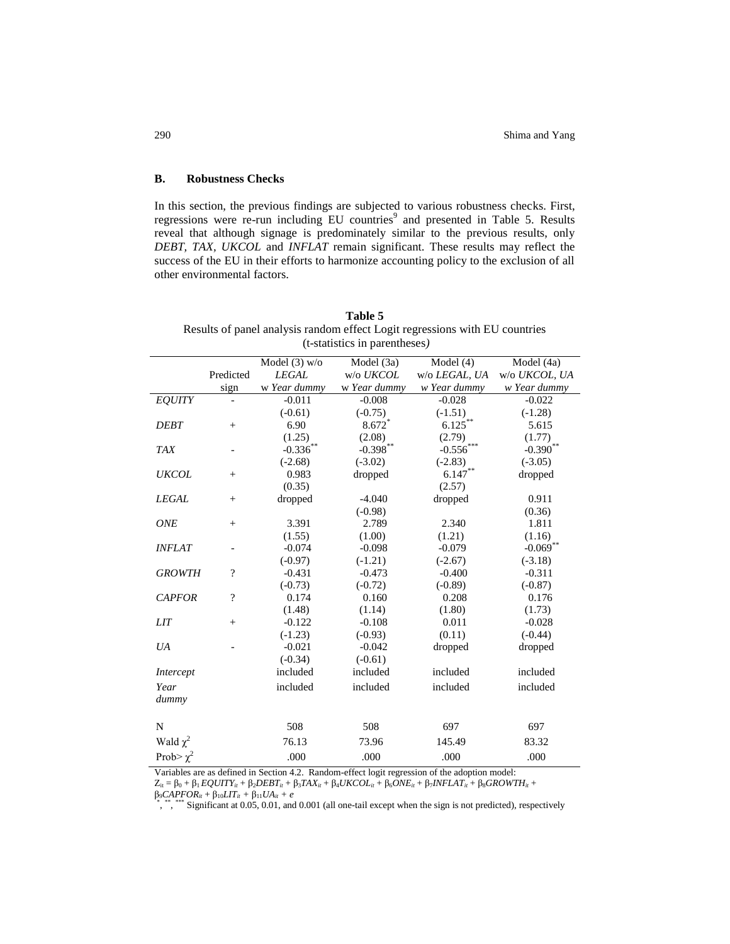# **B. Robustness Checks**

In this section, the previous findings are subjected to various robustness checks. First, regressions were re-run including EU countries<sup>9</sup> and presented in Table 5. Results reveal that although signage is predominately similar to the previous results, only *DEBT, TAX, UKCOL* and *INFLAT* remain significant. These results may reflect the success of the EU in their efforts to harmonize accounting policy to the exclusion of all other environmental factors.

|                |                          |                 | $(t$ -statistics in parentheses) |               |               |
|----------------|--------------------------|-----------------|----------------------------------|---------------|---------------|
|                |                          | Model $(3)$ w/o | Model (3a)                       | Model $(4)$   | Model (4a)    |
|                | Predicted                | <b>LEGAL</b>    | w/o UKCOL                        | w/o LEGAL, UA | w/o UKCOL, UA |
|                | sign                     | w Year dummy    | w Year dummy                     | w Year dummy  | w Year dummy  |
| EQUITY         |                          | $-0.011$        | $-0.008$                         | $-0.028$      | $-0.022$      |
|                |                          | $(-0.61)$       | $(-0.75)$                        | $(-1.51)$     | $(-1.28)$     |
| <b>DEBT</b>    | $+$                      | 6.90            | $8.672*$                         | $6.125***$    | 5.615         |
|                |                          | (1.25)          | (2.08)                           | (2.79)        | (1.77)        |
| <b>TAX</b>     |                          | $-0.336$ **     | $-0.398$ **                      | $-0.556$ ***  | $-0.390$ **   |
|                |                          | $(-2.68)$       | $(-3.02)$                        | $(-2.83)$     | $(-3.05)$     |
| <b>UKCOL</b>   | $^{+}$                   | 0.983           | dropped                          | $6.147***$    | dropped       |
|                |                          | (0.35)          |                                  | (2.57)        |               |
| <b>LEGAL</b>   | $\! + \!\!\!\!$          | dropped         | $-4.040$                         | dropped       | 0.911         |
|                |                          |                 | $(-0.98)$                        |               | (0.36)        |
| <b>ONE</b>     | $^{+}$                   | 3.391           | 2.789                            | 2.340         | 1.811         |
|                |                          | (1.55)          | (1.00)                           | (1.21)        | (1.16)        |
| <b>INFLAT</b>  | $\qquad \qquad -$        | $-0.074$        | $-0.098$                         | $-0.079$      | $-0.069$ **   |
|                |                          | $(-0.97)$       | $(-1.21)$                        | $(-2.67)$     | $(-3.18)$     |
| <b>GROWTH</b>  | $\overline{\mathcal{L}}$ | $-0.431$        | $-0.473$                         | $-0.400$      | $-0.311$      |
|                |                          | $(-0.73)$       | $(-0.72)$                        | $(-0.89)$     | $(-0.87)$     |
| <b>CAPFOR</b>  | $\gamma$                 | 0.174           | 0.160                            | 0.208         | 0.176         |
|                |                          | (1.48)          | (1.14)                           | (1.80)        | (1.73)        |
| <b>LIT</b>     | $^{+}$                   | $-0.122$        | $-0.108$                         | 0.011         | $-0.028$      |
|                |                          | $(-1.23)$       | $(-0.93)$                        | (0.11)        | $(-0.44)$     |
| UA             |                          | $-0.021$        | $-0.042$                         | dropped       | dropped       |
|                |                          | $(-0.34)$       | $(-0.61)$                        |               |               |
| Intercept      |                          | included        | included                         | included      | included      |
| Year           |                          | included        | included                         | included      | included      |
| dummy          |                          |                 |                                  |               |               |
|                |                          |                 |                                  |               |               |
| N              |                          | 508             | 508                              | 697           | 697           |
| Wald $\chi^2$  |                          | 76.13           | 73.96                            | 145.49        | 83.32         |
| Prob> $\chi^2$ |                          | .000            | .000                             | .000          | .000          |

**Table 5** Results of panel analysis random effect Logit regressions with EU countries (t-statistics in parentheses*)*

Variables are as defined in Section 4.2. Random-effect logit regression of the adoption model:

 $Z_{it} = \beta_0 + \beta_1 EQUITY_{it} + \beta_2 DEBT_{it} + \beta_3 TAX_{it} + \beta_4 UKCOL_{it} + \beta_6 ONE_{it} + \beta_7 INFLAT_{it} + \beta_8 GROWTH_{it} +$ 

 $\beta_9 \text{C}APFOR_{it} + \beta_{10} LIT_{it} + \beta_{11} UA_{it} + e$ <br>\*, \*\* \*\*\*\* Significant at 0.05, 0.01, and 0.001 (all one-tail except when the sign is not predicted), respectively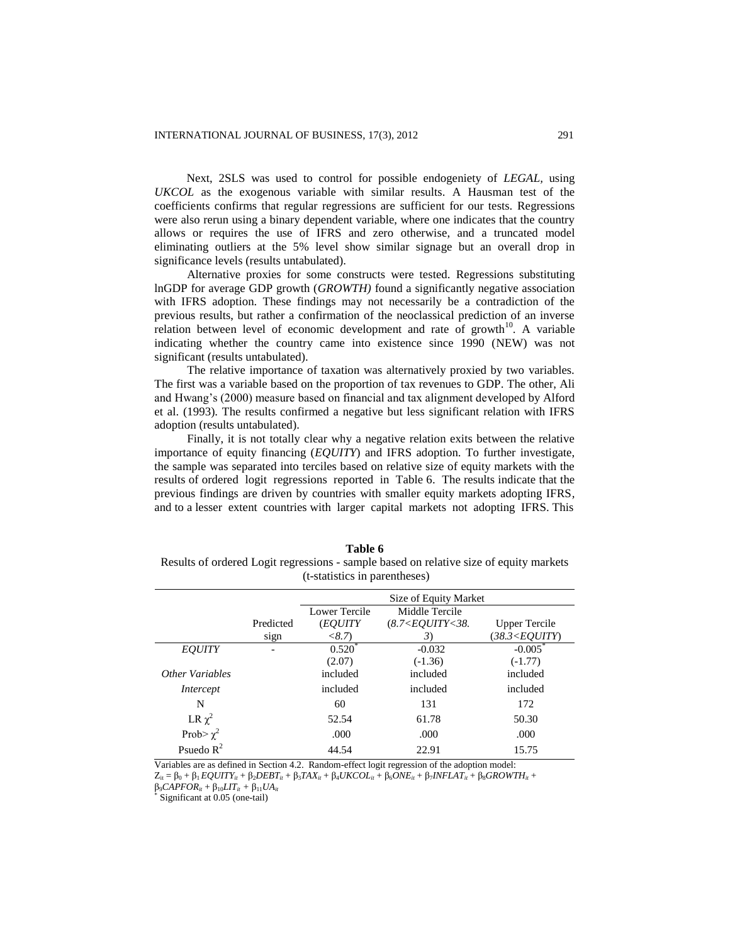Next, 2SLS was used to control for possible endogeniety of *LEGAL,* using *UKCOL* as the exogenous variable with similar results. A Hausman test of the coefficients confirms that regular regressions are sufficient for our tests. Regressions were also rerun using a binary dependent variable, where one indicates that the country allows or requires the use of IFRS and zero otherwise, and a truncated model eliminating outliers at the 5% level show similar signage but an overall drop in significance levels (results untabulated).

Alternative proxies for some constructs were tested. Regressions substituting lnGDP for average GDP growth (*GROWTH)* found a significantly negative association with IFRS adoption. These findings may not necessarily be a contradiction of the previous results, but rather a confirmation of the neoclassical prediction of an inverse relation between level of economic development and rate of growth<sup>10</sup>. A variable indicating whether the country came into existence since 1990 (NEW) was not significant (results untabulated).

The relative importance of taxation was alternatively proxied by two variables. The first was a variable based on the proportion of tax revenues to GDP. The other, Ali and Hwang's (2000) measure based on financial and tax alignment developed by Alford et al. (1993). The results confirmed a negative but less significant relation with IFRS adoption (results untabulated).

Finally, it is not totally clear why a negative relation exits between the relative importance of equity financing (*EQUITY*) and IFRS adoption. To further investigate, the sample was separated into terciles based on relative size of equity markets with the results of ordered logit regressions reported in Table 6. The results indicate that the previous findings are driven by countries with smaller equity markets adopting IFRS*,* and to a lesser extent countries with larger capital markets not adopting IFRS. This

| (t-statistics in parentheses) |               |                              |                      |  |  |
|-------------------------------|---------------|------------------------------|----------------------|--|--|
|                               |               | Size of Equity Market        |                      |  |  |
|                               | Lower Tercile | Middle Tercile               |                      |  |  |
| Predicted                     | (EOUITY       | $(8.7<$ <i>EOUITY&lt;38.</i> | <b>Upper Tercile</b> |  |  |

| Table 6                                                                                |
|----------------------------------------------------------------------------------------|
| Results of ordered Logit regressions - sample based on relative size of equity markets |
| (t-statistics in parentheses)                                                          |

|                 |           | Size of Equity Market |                    |                                   |
|-----------------|-----------|-----------------------|--------------------|-----------------------------------|
|                 |           | Lower Tercile         | Middle Tercile     |                                   |
|                 | Predicted | (EOUITY               | (8.7 < EOUTY < 38. | <b>Upper Tercile</b>              |
|                 | sign      | <8.7                  | 3)                 | (38.3 <equity)< td=""></equity)<> |
| <b>EOUITY</b>   |           | $0.520^*$             | $-0.032$           | $-0.005$                          |
|                 |           | (2.07)                | $(-1.36)$          | $(-1.77)$                         |
| Other Variables |           | included              | included           | included                          |
| Intercept       |           | included              | included           | included                          |
| N               |           | 60                    | 131                | 172                               |
| LR $\chi^2$     |           | 52.54                 | 61.78              | 50.30                             |
| Prob> $\chi^2$  |           | .000                  | .000               | .000                              |
| Psuedo $R^2$    |           | 44.54                 | 22.91              | 15.75                             |

Variables are as defined in Section 4.2. Random-effect logit regression of the adoption model:  $Z_{it} = \beta_0 + \beta_1 EQUITY_{it} + \beta_2 DEBT_{it} + \beta_3 TAX_{it} + \beta_4 UKCOL_{it} + \beta_6 ONE_{it} + \beta_7 INFLAT_{it} + \beta_8 GROWTH_{it} + \beta_9 SCHOMI$ 

β9*CAPFORit* + β10*LITit +* β11*UAit* \*

Significant at 0.05 (one-tail)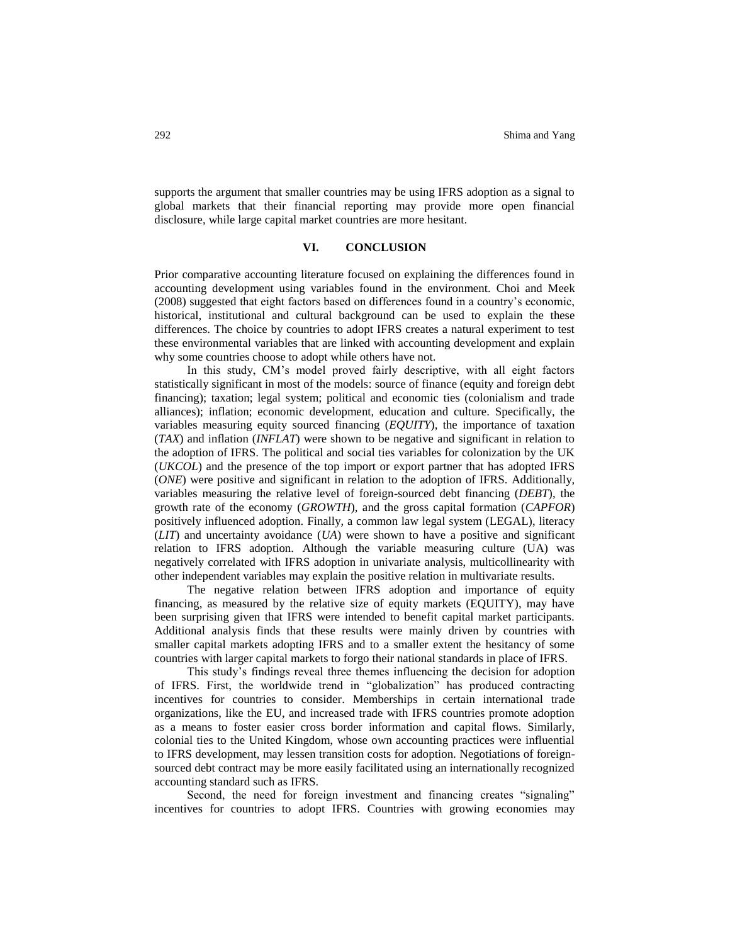supports the argument that smaller countries may be using IFRS adoption as a signal to global markets that their financial reporting may provide more open financial disclosure, while large capital market countries are more hesitant.

# **VI. CONCLUSION**

Prior comparative accounting literature focused on explaining the differences found in accounting development using variables found in the environment. Choi and Meek (2008) suggested that eight factors based on differences found in a country's economic, historical, institutional and cultural background can be used to explain the these differences. The choice by countries to adopt IFRS creates a natural experiment to test these environmental variables that are linked with accounting development and explain why some countries choose to adopt while others have not.

In this study, CM's model proved fairly descriptive, with all eight factors statistically significant in most of the models: source of finance (equity and foreign debt financing); taxation; legal system; political and economic ties (colonialism and trade alliances); inflation; economic development, education and culture. Specifically, the variables measuring equity sourced financing (*EQUITY*), the importance of taxation (*TAX*) and inflation (*INFLAT*) were shown to be negative and significant in relation to the adoption of IFRS. The political and social ties variables for colonization by the UK (*UKCOL*) and the presence of the top import or export partner that has adopted IFRS (*ONE*) were positive and significant in relation to the adoption of IFRS. Additionally, variables measuring the relative level of foreign-sourced debt financing (*DEBT*), the growth rate of the economy (*GROWTH*), and the gross capital formation (*CAPFOR*) positively influenced adoption. Finally, a common law legal system (LEGAL), literacy (*LIT*) and uncertainty avoidance (*UA*) were shown to have a positive and significant relation to IFRS adoption. Although the variable measuring culture (UA) was negatively correlated with IFRS adoption in univariate analysis, multicollinearity with other independent variables may explain the positive relation in multivariate results.

The negative relation between IFRS adoption and importance of equity financing, as measured by the relative size of equity markets (EQUITY), may have been surprising given that IFRS were intended to benefit capital market participants. Additional analysis finds that these results were mainly driven by countries with smaller capital markets adopting IFRS and to a smaller extent the hesitancy of some countries with larger capital markets to forgo their national standards in place of IFRS.

This study's findings reveal three themes influencing the decision for adoption of IFRS. First, the worldwide trend in "globalization" has produced contracting incentives for countries to consider. Memberships in certain international trade organizations, like the EU, and increased trade with IFRS countries promote adoption as a means to foster easier cross border information and capital flows. Similarly, colonial ties to the United Kingdom, whose own accounting practices were influential to IFRS development, may lessen transition costs for adoption. Negotiations of foreignsourced debt contract may be more easily facilitated using an internationally recognized accounting standard such as IFRS.

Second, the need for foreign investment and financing creates "signaling" incentives for countries to adopt IFRS. Countries with growing economies may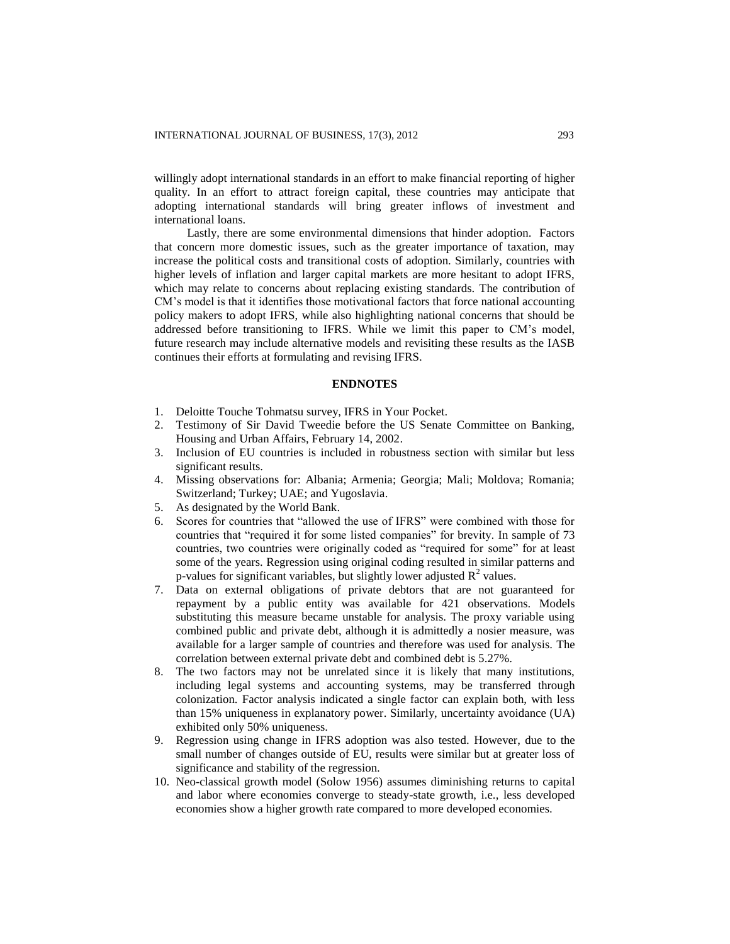willingly adopt international standards in an effort to make financial reporting of higher quality. In an effort to attract foreign capital, these countries may anticipate that adopting international standards will bring greater inflows of investment and international loans.

Lastly, there are some environmental dimensions that hinder adoption. Factors that concern more domestic issues, such as the greater importance of taxation, may increase the political costs and transitional costs of adoption. Similarly, countries with higher levels of inflation and larger capital markets are more hesitant to adopt IFRS, which may relate to concerns about replacing existing standards. The contribution of CM's model is that it identifies those motivational factors that force national accounting policy makers to adopt IFRS, while also highlighting national concerns that should be addressed before transitioning to IFRS. While we limit this paper to CM's model, future research may include alternative models and revisiting these results as the IASB continues their efforts at formulating and revising IFRS.

#### **ENDNOTES**

- 1. Deloitte Touche Tohmatsu survey, IFRS in Your Pocket.
- 2. Testimony of Sir David Tweedie before the US Senate Committee on Banking, Housing and Urban Affairs, February 14, 2002.
- 3. Inclusion of EU countries is included in robustness section with similar but less significant results.
- 4. Missing observations for: Albania; Armenia; Georgia; Mali; Moldova; Romania; Switzerland; Turkey; UAE; and Yugoslavia.
- 5. As designated by the World Bank.
- 6. Scores for countries that "allowed the use of IFRS" were combined with those for countries that "required it for some listed companies" for brevity. In sample of 73 countries, two countries were originally coded as "required for some" for at least some of the years. Regression using original coding resulted in similar patterns and p-values for significant variables, but slightly lower adjusted  $\mathbb{R}^2$  values.
- 7. Data on external obligations of private debtors that are not guaranteed for repayment by a public entity was available for 421 observations. Models substituting this measure became unstable for analysis. The proxy variable using combined public and private debt, although it is admittedly a nosier measure, was available for a larger sample of countries and therefore was used for analysis. The correlation between external private debt and combined debt is 5.27%.
- 8. The two factors may not be unrelated since it is likely that many institutions, including legal systems and accounting systems, may be transferred through colonization. Factor analysis indicated a single factor can explain both, with less than 15% uniqueness in explanatory power. Similarly, uncertainty avoidance (UA) exhibited only 50% uniqueness.
- 9. Regression using change in IFRS adoption was also tested. However, due to the small number of changes outside of EU, results were similar but at greater loss of significance and stability of the regression.
- 10. Neo-classical growth model (Solow 1956) assumes diminishing returns to capital and labor where economies converge to steady-state growth, i.e., less developed economies show a higher growth rate compared to more developed economies.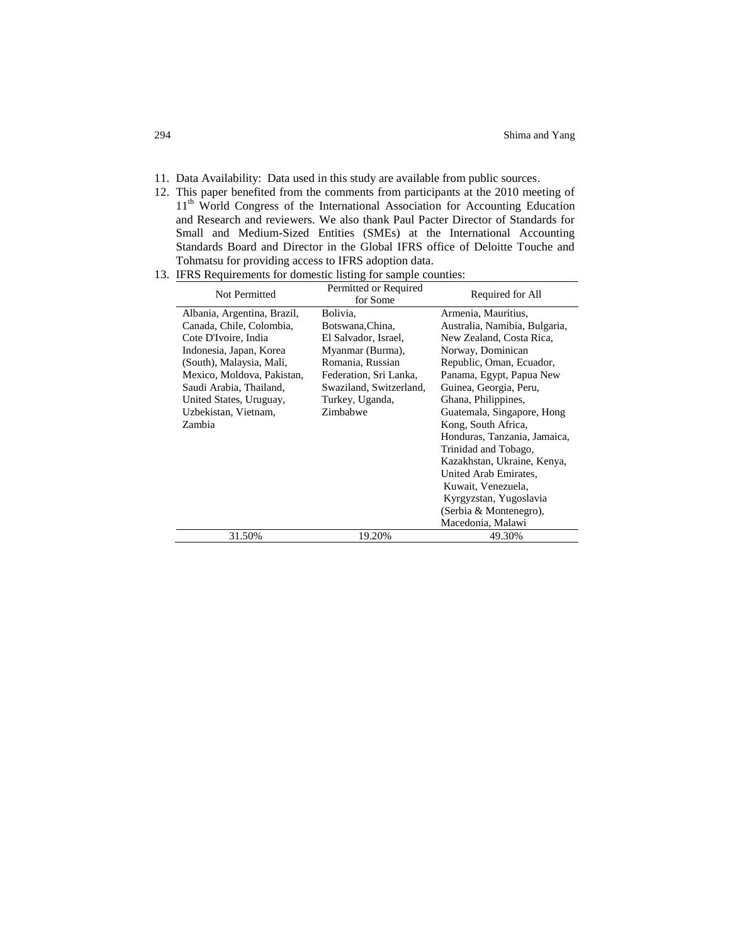- 11. Data Availability: Data used in this study are available from public sources.
- 12. This paper benefited from the comments from participants at the 2010 meeting of 11<sup>th</sup> World Congress of the International Association for Accounting Education and Research and reviewers. We also thank Paul Pacter Director of Standards for Small and Medium-Sized Entities (SMEs) at the International Accounting Standards Board and Director in the Global IFRS office of Deloitte Touche and Tohmatsu for providing access to IFRS adoption data.
- 13. IFRS Requirements for domestic listing for sample counties:

| Not Permitted               | Permitted or Required<br>for Some | Required for All              |
|-----------------------------|-----------------------------------|-------------------------------|
| Albania, Argentina, Brazil, | Bolivia.                          | Armenia, Mauritius,           |
| Canada, Chile, Colombia,    | Botswana, China,                  | Australia, Namibia, Bulgaria, |
| Cote D'Ivoire, India        | El Salvador, Israel,              | New Zealand, Costa Rica,      |
| Indonesia, Japan, Korea     | Myanmar (Burma),                  | Norway, Dominican             |
| (South), Malaysia, Mali,    | Romania, Russian                  | Republic, Oman, Ecuador,      |
| Mexico, Moldova, Pakistan,  | Federation, Sri Lanka,            | Panama, Egypt, Papua New      |
| Saudi Arabia, Thailand,     | Swaziland, Switzerland,           | Guinea, Georgia, Peru,        |
| United States, Uruguay,     | Turkey, Uganda,                   | Ghana, Philippines,           |
| Uzbekistan, Vietnam,        | Zimbabwe                          | Guatemala, Singapore, Hong    |
| Zambia                      |                                   | Kong, South Africa,           |
|                             |                                   | Honduras, Tanzania, Jamaica,  |
|                             |                                   | Trinidad and Tobago,          |
|                             |                                   | Kazakhstan, Ukraine, Kenya,   |
|                             |                                   | United Arab Emirates,         |
|                             |                                   | Kuwait, Venezuela,            |
|                             |                                   | Kyrgyzstan, Yugoslavia        |
|                             |                                   | (Serbia & Montenegro),        |
|                             |                                   | Macedonia, Malawi             |
| 31.50%                      | 19.20%                            | 49.30%                        |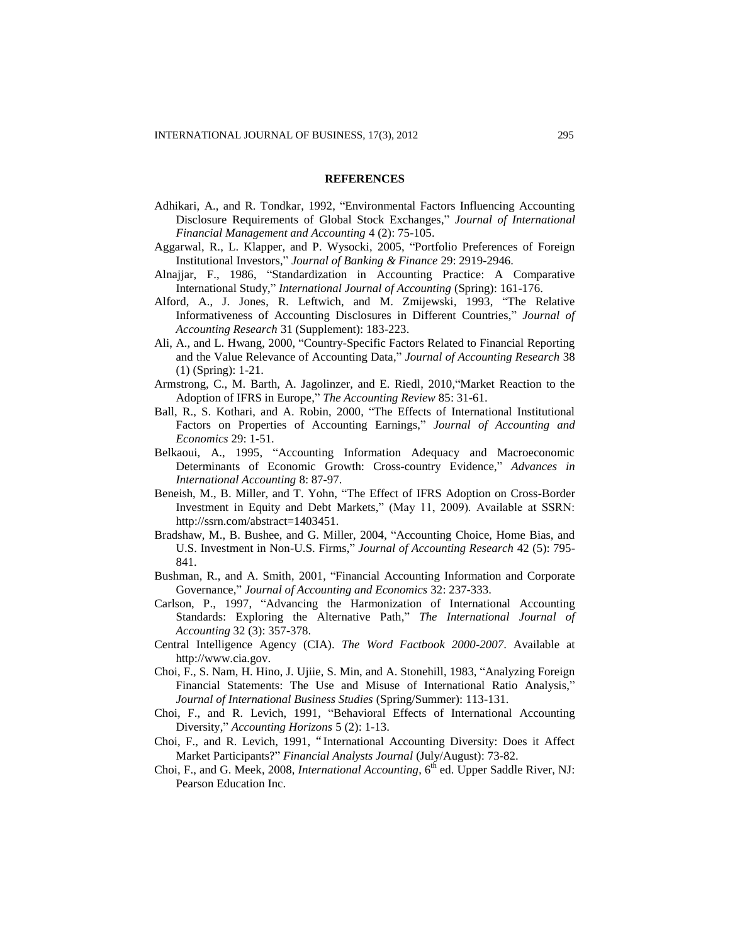#### **REFERENCES**

- Adhikari, A., and R. Tondkar, 1992, "Environmental Factors Influencing Accounting Disclosure Requirements of Global Stock Exchanges," *Journal of International Financial Management and Accounting* 4 (2): 75-105.
- Aggarwal, R., L. Klapper, and P. Wysocki, 2005, "Portfolio Preferences of Foreign Institutional Investors," *Journal of Banking & Finance* 29: 2919-2946.
- Alnajjar, F., 1986, "Standardization in Accounting Practice: A Comparative International Study," *International Journal of Accounting* (Spring): 161-176.
- Alford, A., J. Jones, R. Leftwich, and M. Zmijewski, 1993, "The Relative Informativeness of Accounting Disclosures in Different Countries," *Journal of Accounting Research* 31 (Supplement): 183-223.
- Ali, A., and L. Hwang, 2000, "Country-Specific Factors Related to Financial Reporting and the Value Relevance of Accounting Data," *Journal of Accounting Research* 38 (1) (Spring): 1-21.
- Armstrong, C., M. Barth, A. Jagolinzer, and E. Riedl, 2010,"Market Reaction to the Adoption of IFRS in Europe," *The Accounting Review* 85: 31-61.
- Ball, R., S. Kothari, and A. Robin, 2000, "The Effects of International Institutional Factors on Properties of Accounting Earnings," *Journal of Accounting and Economics* 29: 1-51.
- Belkaoui, A., 1995, "Accounting Information Adequacy and Macroeconomic Determinants of Economic Growth: Cross-country Evidence," *Advances in International Accounting* 8: 87-97.
- Beneish, M., B. Miller, and T. Yohn, "The Effect of IFRS Adoption on Cross-Border Investment in Equity and Debt Markets," (May 11, 2009). Available at SSRN: http://ssrn.com/abstract=1403451.
- Bradshaw, M., B. Bushee, and G. Miller, 2004, "Accounting Choice, Home Bias, and U.S. Investment in Non-U.S. Firms," *Journal of Accounting Research* 42 (5): 795- 841.
- Bushman, R., and A. Smith, 2001, "Financial Accounting Information and Corporate Governance," *Journal of Accounting and Economics* 32: 237-333.
- Carlson, P., 1997, "Advancing the Harmonization of International Accounting Standards: Exploring the Alternative Path," *The International Journal of Accounting* 32 (3): 357-378.
- Central Intelligence Agency (CIA). *The Word Factbook 2000-2007*. Available at http:/[/www.cia.gov.](http://www.cia.gov/)
- Choi, F., S. Nam, H. Hino, J. Ujiie, S. Min, and A. Stonehill, 1983, "Analyzing Foreign Financial Statements: The Use and Misuse of International Ratio Analysis," *Journal of International Business Studies* (Spring/Summer): 113-131.
- Choi, F., and R. Levich, 1991, "Behavioral Effects of International Accounting Diversity," *Accounting Horizons* 5 (2): 1-13.
- Choi, F., and R. Levich, 1991, "International Accounting Diversity: Does it Affect Market Participants?" *Financial Analysts Journal* (July/August): 73-82.
- Choi, F., and G. Meek, 2008, *International Accounting*, 6<sup>th</sup> ed. Upper Saddle River, NJ: Pearson Education Inc.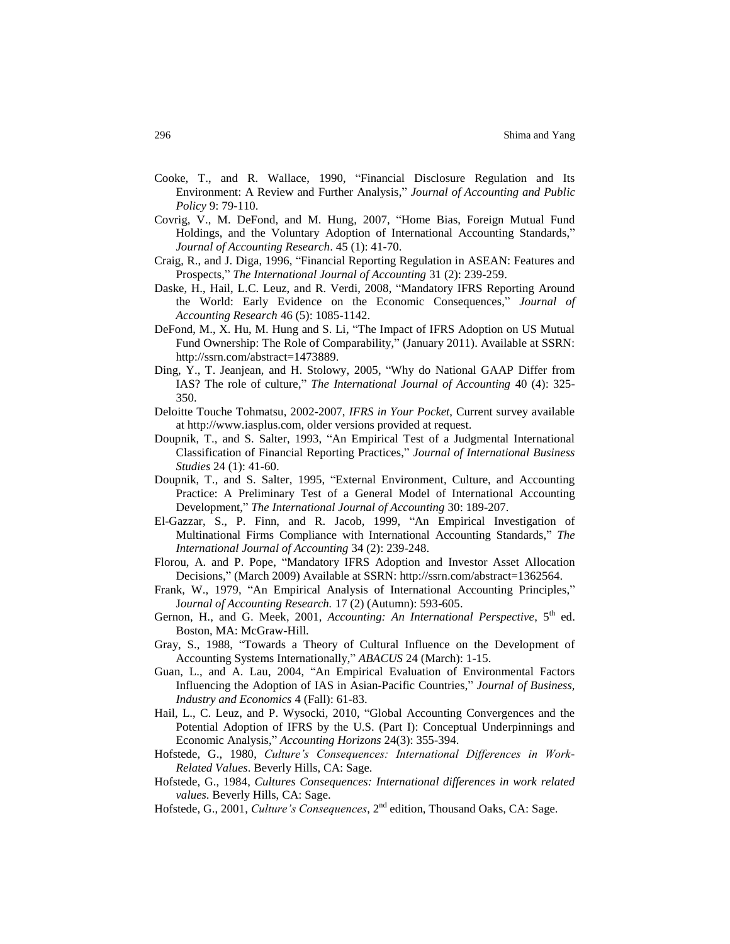- Cooke, T., and R. Wallace, 1990, "Financial Disclosure Regulation and Its Environment: A Review and Further Analysis," *Journal of Accounting and Public Policy* 9: 79-110.
- Covrig, V., M. DeFond, and M. Hung, 2007, "Home Bias, Foreign Mutual Fund Holdings, and the Voluntary Adoption of International Accounting Standards," *Journal of Accounting Research*. 45 (1): 41-70.
- Craig, R., and J. Diga, 1996, "Financial Reporting Regulation in ASEAN: Features and Prospects," *The International Journal of Accounting* 31 (2): 239-259.
- Daske, H., Hail, L.C. Leuz, and R. Verdi, 2008, "Mandatory IFRS Reporting Around the World: Early Evidence on the Economic Consequences," *Journal of Accounting Research* 46 (5): 1085-1142.
- DeFond, M., X. Hu, M. Hung and S. Li, "The Impact of IFRS Adoption on US Mutual Fund Ownership: The Role of Comparability," (January 2011). Available at SSRN: http://ssrn.com/abstract=1473889.
- Ding, Y., T. Jeanjean, and H. Stolowy, 2005, "Why do National GAAP Differ from IAS? The role of culture," *The International Journal of Accounting* 40 (4): 325- 350.
- Deloitte Touche Tohmatsu, 2002-2007, *IFRS in Your Pocket*, Current survey available at [http://www.iasplus.com,](http://www.iasplus.com/) older versions provided at request.
- Doupnik, T., and S. Salter, 1993, "An Empirical Test of a Judgmental International Classification of Financial Reporting Practices," *Journal of International Business Studies* 24 (1): 41-60.
- Doupnik, T., and S. Salter, 1995, "External Environment, Culture, and Accounting Practice: A Preliminary Test of a General Model of International Accounting Development," *The International Journal of Accounting* 30: 189-207.
- El-Gazzar, S., P. Finn, and R. Jacob, 1999, "An Empirical Investigation of Multinational Firms Compliance with International Accounting Standards," *The International Journal of Accounting* 34 (2): 239-248.
- Florou, A. and P. Pope, "Mandatory IFRS Adoption and Investor Asset Allocation Decisions," (March 2009) Available at SSRN: http://ssrn.com/abstract=1362564.
- Frank, W., 1979, "An Empirical Analysis of International Accounting Principles," J*ournal of Accounting Research.* 17 (2) (Autumn): 593-605.
- Gernon, H., and G. Meek, 2001, *Accounting: An International Perspective*, 5<sup>th</sup> ed. Boston, MA: McGraw-Hill.
- Gray, S., 1988, "Towards a Theory of Cultural Influence on the Development of Accounting Systems Internationally," *ABACUS* 24 (March): 1-15.
- Guan, L., and A. Lau, 2004, "An Empirical Evaluation of Environmental Factors Influencing the Adoption of IAS in Asian-Pacific Countries," *Journal of Business, Industry and Economics* 4 (Fall): 61-83.
- Hail, L., C. Leuz, and P. Wysocki, 2010, "Global Accounting Convergences and the Potential Adoption of IFRS by the U.S. (Part I): Conceptual Underpinnings and Economic Analysis," *Accounting Horizons* 24(3): 355-394.
- Hofstede, G., 1980, *Culture's Consequences: International Differences in Work-Related Values*. Beverly Hills, CA: Sage.
- Hofstede, G., 1984, *Cultures Consequences: International differences in work related values*. Beverly Hills, CA: Sage.
- Hofstede, G., 2001, *Culture's Consequences*, 2nd edition, Thousand Oaks, CA: Sage.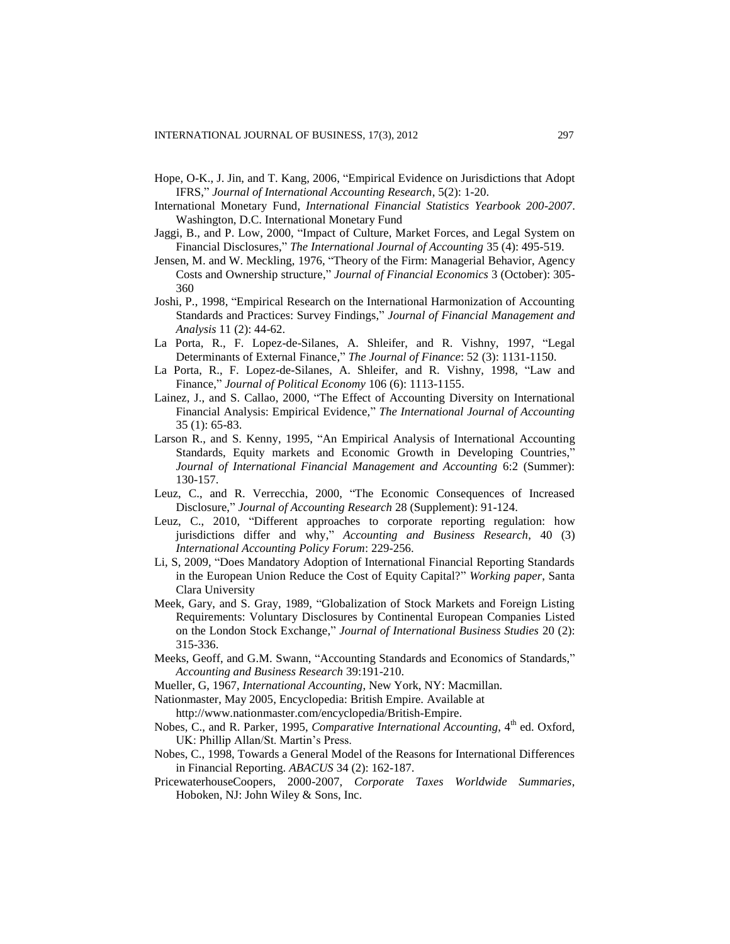- Hope, O-K., J. Jin, and T. Kang, 2006, "Empirical Evidence on Jurisdictions that Adopt IFRS," *Journal of International Accounting Research*, 5(2): 1-20.
- International Monetary Fund, *International Financial Statistics Yearbook 200-2007*. Washington, D.C. International Monetary Fund
- Jaggi, B., and P. Low, 2000, "Impact of Culture, Market Forces, and Legal System on Financial Disclosures," *The International Journal of Accounting* 35 (4): 495-519.
- Jensen, M. and W. Meckling, 1976, "Theory of the Firm: Managerial Behavior, Agency Costs and Ownership structure," *Journal of Financial Economics* 3 (October): 305- 360
- Joshi, P., 1998, "Empirical Research on the International Harmonization of Accounting Standards and Practices: Survey Findings," *Journal of Financial Management and Analysis* 11 (2): 44-62.
- La Porta, R., F. Lopez-de-Silanes, A. Shleifer, and R. Vishny, 1997, "Legal Determinants of External Finance," *The Journal of Finance*: 52 (3): 1131-1150.
- La Porta, R., F. Lopez-de-Silanes, A. Shleifer, and R. Vishny, 1998, "Law and Finance," *Journal of Political Economy* 106 (6): 1113-1155.
- Lainez, J., and S. Callao, 2000, "The Effect of Accounting Diversity on International Financial Analysis: Empirical Evidence," *The International Journal of Accounting* 35 (1): 65-83.
- Larson R., and S. Kenny, 1995, "An Empirical Analysis of International Accounting Standards, Equity markets and Economic Growth in Developing Countries," *Journal of International Financial Management and Accounting* 6:2 (Summer): 130-157.
- Leuz, C., and R. Verrecchia, 2000, "The Economic Consequences of Increased Disclosure," *Journal of Accounting Research* 28 (Supplement): 91-124.
- Leuz, C., 2010, "Different approaches to corporate reporting regulation: how jurisdictions differ and why," *Accounting and Business Research*, 40 (3) *International Accounting Policy Forum*: 229-256.
- Li, S, 2009, "Does Mandatory Adoption of International Financial Reporting Standards in the European Union Reduce the Cost of Equity Capital?" *Working paper*, Santa Clara University
- Meek, Gary, and S. Gray, 1989, "Globalization of Stock Markets and Foreign Listing Requirements: Voluntary Disclosures by Continental European Companies Listed on the London Stock Exchange," *Journal of International Business Studies* 20 (2): 315-336.
- Meeks, Geoff, and G.M. Swann, "Accounting Standards and Economics of Standards," *Accounting and Business Research* 39:191-210.
- Mueller, G, 1967, *International Accounting*, New York, NY: Macmillan.
- Nationmaster, May 2005, Encyclopedia: British Empire. Available at

http:/[/www.nationmaster.com/encyclopedia/British-Empire.](http://www.nationmaster.com/encyclopedia/British-Empire)

- Nobes, C., and R. Parker, 1995, *Comparative International Accounting*, 4<sup>th</sup> ed. Oxford, UK: Phillip Allan/St. Martin's Press.
- Nobes, C., 1998, Towards a General Model of the Reasons for International Differences in Financial Reporting. *ABACUS* 34 (2): 162-187.
- PricewaterhouseCoopers, 2000-2007, *Corporate Taxes Worldwide Summaries*, Hoboken, NJ: John Wiley & Sons, Inc.